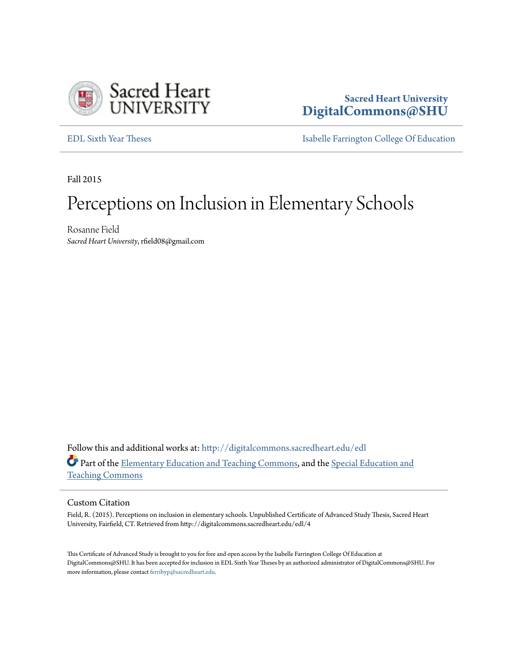

# **Sacred Heart University [DigitalCommons@SHU](http://digitalcommons.sacredheart.edu?utm_source=digitalcommons.sacredheart.edu%2Fedl%2F4&utm_medium=PDF&utm_campaign=PDFCoverPages)**

[EDL Sixth Year Theses](http://digitalcommons.sacredheart.edu/edl?utm_source=digitalcommons.sacredheart.edu%2Fedl%2F4&utm_medium=PDF&utm_campaign=PDFCoverPages) **[Isabelle Farrington College Of Education](http://digitalcommons.sacredheart.edu/ced?utm_source=digitalcommons.sacredheart.edu%2Fedl%2F4&utm_medium=PDF&utm_campaign=PDFCoverPages)** 

Fall 2015

# Perceptions on Inclusion in Elementary Schools

Rosanne Field *Sacred Heart University*, rfield08@gmail.com

Follow this and additional works at: [http://digitalcommons.sacredheart.edu/edl](http://digitalcommons.sacredheart.edu/edl?utm_source=digitalcommons.sacredheart.edu%2Fedl%2F4&utm_medium=PDF&utm_campaign=PDFCoverPages) Part of the [Elementary Education and Teaching Commons,](http://network.bepress.com/hgg/discipline/805?utm_source=digitalcommons.sacredheart.edu%2Fedl%2F4&utm_medium=PDF&utm_campaign=PDFCoverPages) and the [Special Education and](http://network.bepress.com/hgg/discipline/801?utm_source=digitalcommons.sacredheart.edu%2Fedl%2F4&utm_medium=PDF&utm_campaign=PDFCoverPages) [Teaching Commons](http://network.bepress.com/hgg/discipline/801?utm_source=digitalcommons.sacredheart.edu%2Fedl%2F4&utm_medium=PDF&utm_campaign=PDFCoverPages)

#### Custom Citation

Field, R. (2015). Perceptions on inclusion in elementary schools. Unpublished Certificate of Advanced Study Thesis, Sacred Heart University, Fairfield, CT. Retrieved from http://digitalcommons.sacredheart.edu/edl/4

This Certificate of Advanced Study is brought to you for free and open access by the Isabelle Farrington College Of Education at DigitalCommons@SHU. It has been accepted for inclusion in EDL Sixth Year Theses by an authorized administrator of DigitalCommons@SHU. For more information, please contact [ferribyp@sacredheart.edu](mailto:ferribyp@sacredheart.edu).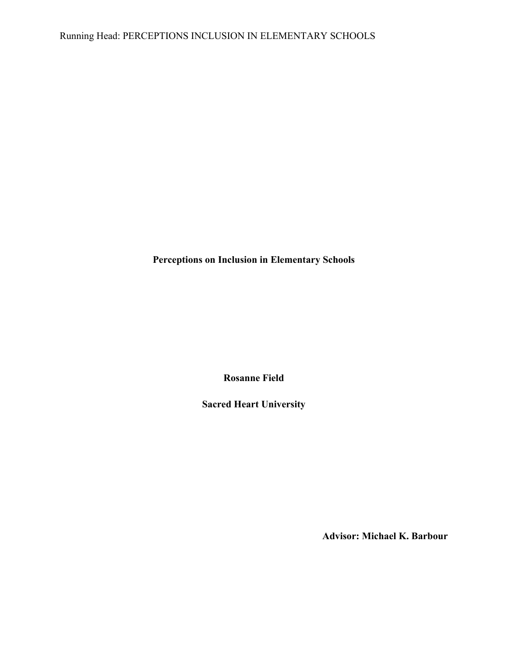**Perceptions on Inclusion in Elementary Schools**

**Rosanne Field**

**Sacred Heart University**

**Advisor: Michael K. Barbour**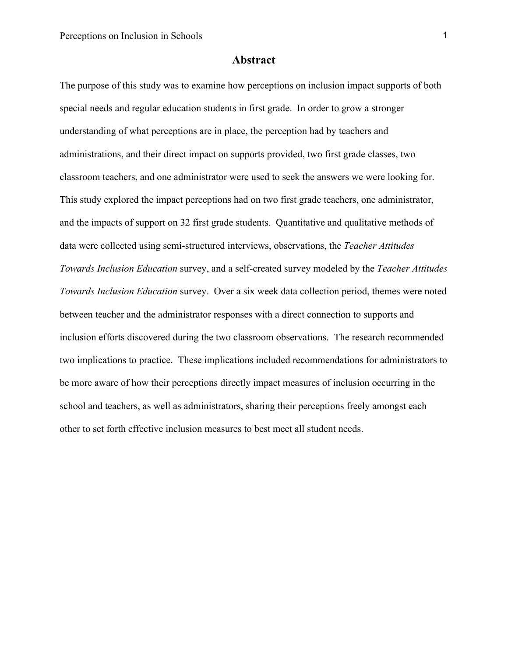#### **Abstract**

The purpose of this study was to examine how perceptions on inclusion impact supports of both special needs and regular education students in first grade. In order to grow a stronger understanding of what perceptions are in place, the perception had by teachers and administrations, and their direct impact on supports provided, two first grade classes, two classroom teachers, and one administrator were used to seek the answers we were looking for. This study explored the impact perceptions had on two first grade teachers, one administrator, and the impacts of support on 32 first grade students. Quantitative and qualitative methods of data were collected using semi-structured interviews, observations, the *Teacher Attitudes Towards Inclusion Education* survey, and a self-created survey modeled by the *Teacher Attitudes Towards Inclusion Education* survey. Over a six week data collection period, themes were noted between teacher and the administrator responses with a direct connection to supports and inclusion efforts discovered during the two classroom observations. The research recommended two implications to practice. These implications included recommendations for administrators to be more aware of how their perceptions directly impact measures of inclusion occurring in the school and teachers, as well as administrators, sharing their perceptions freely amongst each other to set forth effective inclusion measures to best meet all student needs.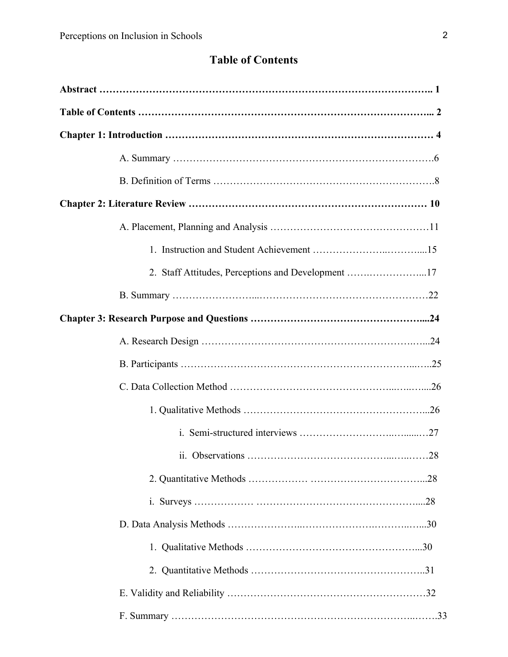# **Table of Contents**

| 2. Staff Attitudes, Perceptions and Development 17 |  |
|----------------------------------------------------|--|
|                                                    |  |
|                                                    |  |
|                                                    |  |
|                                                    |  |
|                                                    |  |
|                                                    |  |
|                                                    |  |
|                                                    |  |
|                                                    |  |
|                                                    |  |
|                                                    |  |
|                                                    |  |
|                                                    |  |
|                                                    |  |
|                                                    |  |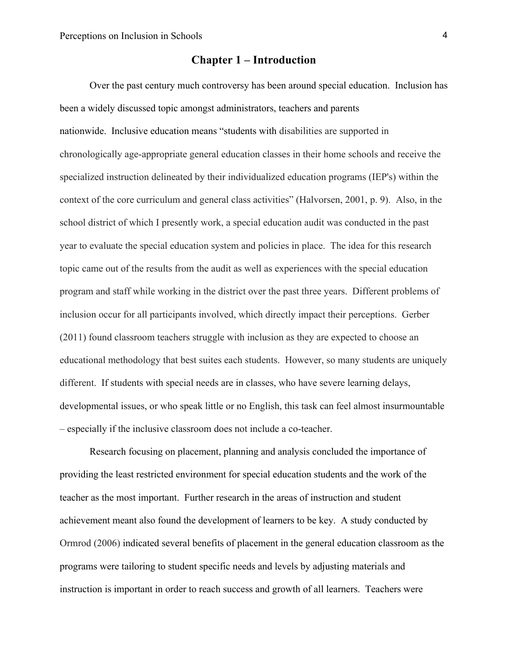# **Chapter 1 – Introduction**

Over the past century much controversy has been around special education. Inclusion has been a widely discussed topic amongst administrators, teachers and parents nationwide. Inclusive education means "students with disabilities are supported in chronologically age-appropriate general education classes in their home schools and receive the specialized instruction delineated by their individualized education programs (IEP's) within the context of the core curriculum and general class activities" (Halvorsen, 2001, p. 9). Also, in the school district of which I presently work, a special education audit was conducted in the past year to evaluate the special education system and policies in place. The idea for this research topic came out of the results from the audit as well as experiences with the special education program and staff while working in the district over the past three years. Different problems of inclusion occur for all participants involved, which directly impact their perceptions. Gerber (2011) found classroom teachers struggle with inclusion as they are expected to choose an educational methodology that best suites each students. However, so many students are uniquely different. If students with special needs are in classes, who have severe learning delays, developmental issues, or who speak little or no English, this task can feel almost insurmountable – especially if the inclusive classroom does not include a co-teacher.

Research focusing on placement, planning and analysis concluded the importance of providing the least restricted environment for special education students and the work of the teacher as the most important. Further research in the areas of instruction and student achievement meant also found the development of learners to be key. A study conducted by Ormrod (2006) indicated several benefits of placement in the general education classroom as the programs were tailoring to student specific needs and levels by adjusting materials and instruction is important in order to reach success and growth of all learners. Teachers were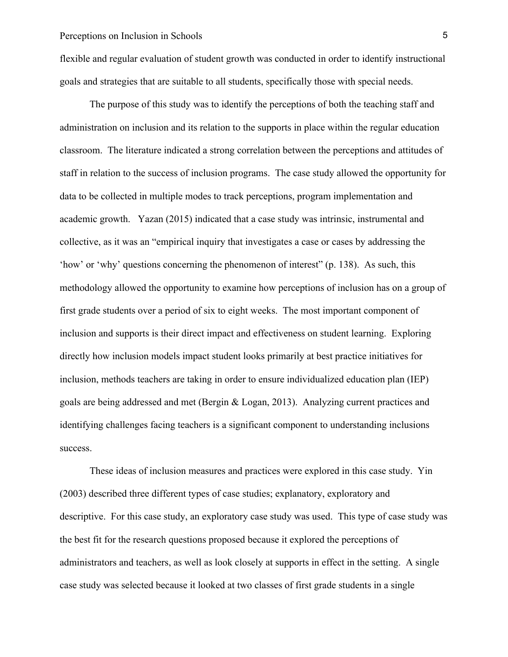flexible and regular evaluation of student growth was conducted in order to identify instructional goals and strategies that are suitable to all students, specifically those with special needs.

The purpose of this study was to identify the perceptions of both the teaching staff and administration on inclusion and its relation to the supports in place within the regular education classroom. The literature indicated a strong correlation between the perceptions and attitudes of staff in relation to the success of inclusion programs. The case study allowed the opportunity for data to be collected in multiple modes to track perceptions, program implementation and academic growth. Yazan (2015) indicated that a case study was intrinsic, instrumental and collective, as it was an "empirical inquiry that investigates a case or cases by addressing the 'how' or 'why' questions concerning the phenomenon of interest" (p. 138). As such, this methodology allowed the opportunity to examine how perceptions of inclusion has on a group of first grade students over a period of six to eight weeks. The most important component of inclusion and supports is their direct impact and effectiveness on student learning. Exploring directly how inclusion models impact student looks primarily at best practice initiatives for inclusion, methods teachers are taking in order to ensure individualized education plan (IEP) goals are being addressed and met (Bergin & Logan, 2013). Analyzing current practices and identifying challenges facing teachers is a significant component to understanding inclusions success.

These ideas of inclusion measures and practices were explored in this case study. Yin (2003) described three different types of case studies; explanatory, exploratory and descriptive. For this case study, an exploratory case study was used. This type of case study was the best fit for the research questions proposed because it explored the perceptions of administrators and teachers, as well as look closely at supports in effect in the setting. A single case study was selected because it looked at two classes of first grade students in a single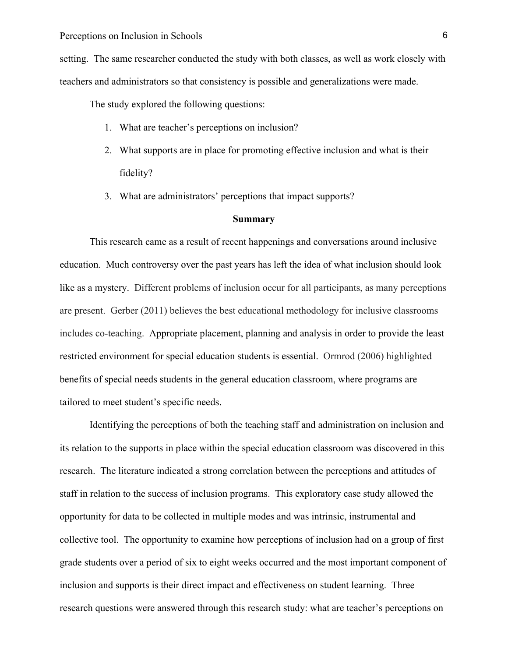setting. The same researcher conducted the study with both classes, as well as work closely with teachers and administrators so that consistency is possible and generalizations were made.

The study explored the following questions:

- 1. What are teacher's perceptions on inclusion?
- 2. What supports are in place for promoting effective inclusion and what is their fidelity?
- 3. What are administrators' perceptions that impact supports?

#### **Summary**

This research came as a result of recent happenings and conversations around inclusive education. Much controversy over the past years has left the idea of what inclusion should look like as a mystery. Different problems of inclusion occur for all participants, as many perceptions are present. Gerber (2011) believes the best educational methodology for inclusive classrooms includes co-teaching. Appropriate placement, planning and analysis in order to provide the least restricted environment for special education students is essential. Ormrod (2006) highlighted benefits of special needs students in the general education classroom, where programs are tailored to meet student's specific needs.

Identifying the perceptions of both the teaching staff and administration on inclusion and its relation to the supports in place within the special education classroom was discovered in this research. The literature indicated a strong correlation between the perceptions and attitudes of staff in relation to the success of inclusion programs. This exploratory case study allowed the opportunity for data to be collected in multiple modes and was intrinsic, instrumental and collective tool. The opportunity to examine how perceptions of inclusion had on a group of first grade students over a period of six to eight weeks occurred and the most important component of inclusion and supports is their direct impact and effectiveness on student learning. Three research questions were answered through this research study: what are teacher's perceptions on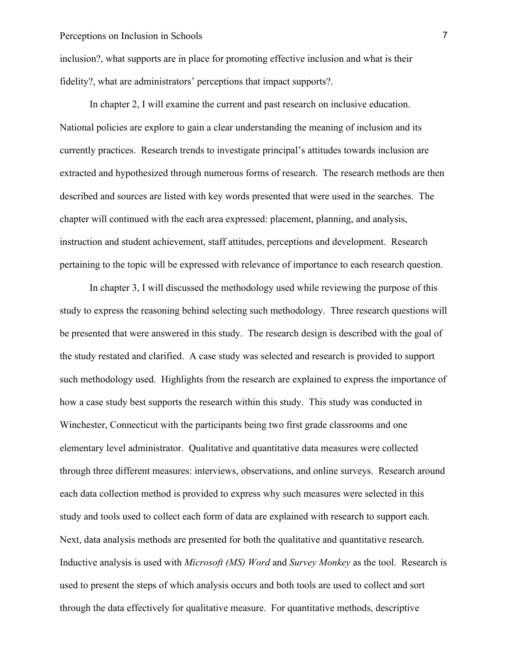inclusion?, what supports are in place for promoting effective inclusion and what is their fidelity?, what are administrators' perceptions that impact supports?.

In chapter 2, I will examine the current and past research on inclusive education. National policies are explore to gain a clear understanding the meaning of inclusion and its currently practices. Research trends to investigate principal's attitudes towards inclusion are extracted and hypothesized through numerous forms of research. The research methods are then described and sources are listed with key words presented that were used in the searches. The chapter will continued with the each area expressed: placement, planning, and analysis, instruction and student achievement, staff attitudes, perceptions and development. Research pertaining to the topic will be expressed with relevance of importance to each research question.

In chapter 3, I will discussed the methodology used while reviewing the purpose of this study to express the reasoning behind selecting such methodology. Three research questions will be presented that were answered in this study. The research design is described with the goal of the study restated and clarified. A case study was selected and research is provided to support such methodology used. Highlights from the research are explained to express the importance of how a case study best supports the research within this study. This study was conducted in Winchester, Connecticut with the participants being two first grade classrooms and one elementary level administrator. Qualitative and quantitative data measures were collected through three different measures: interviews, observations, and online surveys. Research around each data collection method is provided to express why such measures were selected in this study and tools used to collect each form of data are explained with research to support each. Next, data analysis methods are presented for both the qualitative and quantitative research. Inductive analysis is used with *Microsoft (MS) Word* and *Survey Monkey* as the tool. Research is used to present the steps of which analysis occurs and both tools are used to collect and sort through the data effectively for qualitative measure. For quantitative methods, descriptive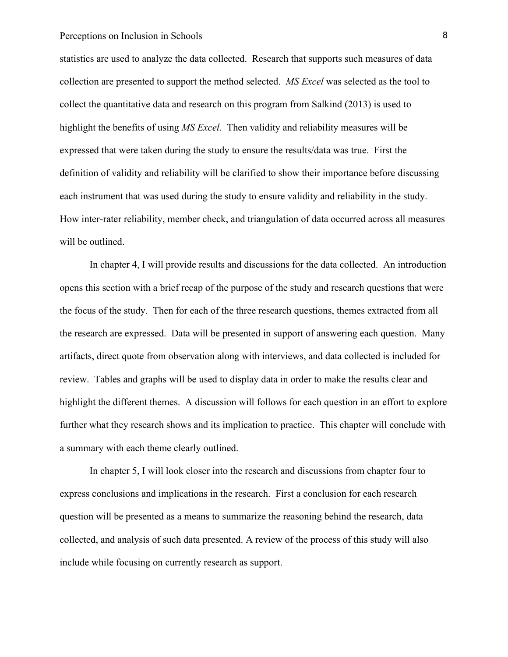statistics are used to analyze the data collected. Research that supports such measures of data collection are presented to support the method selected. *MS Excel* was selected as the tool to collect the quantitative data and research on this program from Salkind (2013) is used to highlight the benefits of using *MS Excel*. Then validity and reliability measures will be expressed that were taken during the study to ensure the results/data was true. First the definition of validity and reliability will be clarified to show their importance before discussing each instrument that was used during the study to ensure validity and reliability in the study. How inter-rater reliability, member check, and triangulation of data occurred across all measures will be outlined.

In chapter 4, I will provide results and discussions for the data collected. An introduction opens this section with a brief recap of the purpose of the study and research questions that were the focus of the study. Then for each of the three research questions, themes extracted from all the research are expressed. Data will be presented in support of answering each question. Many artifacts, direct quote from observation along with interviews, and data collected is included for review. Tables and graphs will be used to display data in order to make the results clear and highlight the different themes. A discussion will follows for each question in an effort to explore further what they research shows and its implication to practice. This chapter will conclude with a summary with each theme clearly outlined.

In chapter 5, I will look closer into the research and discussions from chapter four to express conclusions and implications in the research. First a conclusion for each research question will be presented as a means to summarize the reasoning behind the research, data collected, and analysis of such data presented. A review of the process of this study will also include while focusing on currently research as support.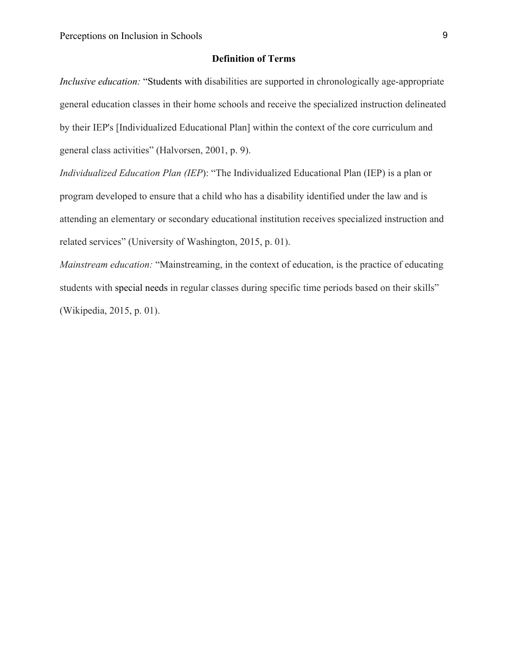#### **Definition of Terms**

*Inclusive education:* "Students with disabilities are supported in chronologically age-appropriate general education classes in their home schools and receive the specialized instruction delineated by their IEP's [Individualized Educational Plan] within the context of the core curriculum and general class activities" (Halvorsen, 2001, p. 9).

*Individualized Education Plan (IEP*): "The Individualized Educational Plan (IEP) is a plan or program developed to ensure that a child who has a disability identified under the law and is attending an elementary or secondary educational institution receives specialized instruction and related services" (University of Washington, 2015, p. 01).

*Mainstream education:* "Mainstreaming, in the context of education, is the practice of educating students with special needs in regular classes during specific time periods based on their skills" (Wikipedia, 2015, p. 01).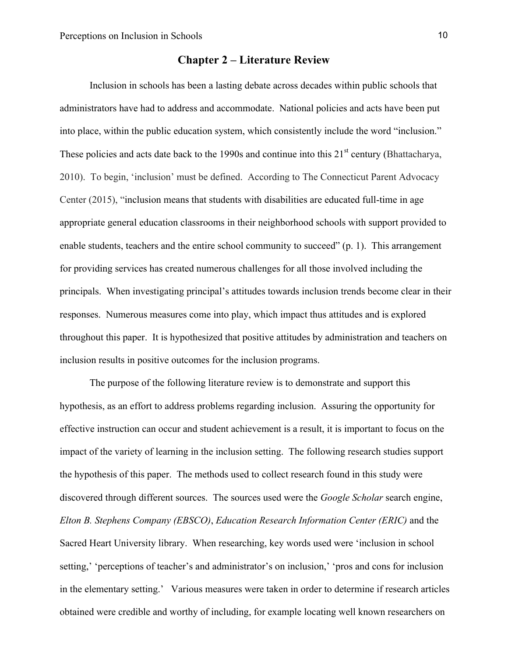# **Chapter 2 – Literature Review**

Inclusion in schools has been a lasting debate across decades within public schools that administrators have had to address and accommodate. National policies and acts have been put into place, within the public education system, which consistently include the word "inclusion." These policies and acts date back to the 1990s and continue into this  $21<sup>st</sup>$  century (Bhattacharya, 2010). To begin, 'inclusion' must be defined. According to The Connecticut Parent Advocacy Center (2015), "inclusion means that students with disabilities are educated full-time in age appropriate general education classrooms in their neighborhood schools with support provided to enable students, teachers and the entire school community to succeed" (p. 1). This arrangement for providing services has created numerous challenges for all those involved including the principals. When investigating principal's attitudes towards inclusion trends become clear in their responses. Numerous measures come into play, which impact thus attitudes and is explored throughout this paper. It is hypothesized that positive attitudes by administration and teachers on inclusion results in positive outcomes for the inclusion programs.

The purpose of the following literature review is to demonstrate and support this hypothesis, as an effort to address problems regarding inclusion. Assuring the opportunity for effective instruction can occur and student achievement is a result, it is important to focus on the impact of the variety of learning in the inclusion setting. The following research studies support the hypothesis of this paper. The methods used to collect research found in this study were discovered through different sources. The sources used were the *Google Scholar* search engine, *Elton B. Stephens Company (EBSCO)*, *Education Research Information Center (ERIC)* and the Sacred Heart University library. When researching, key words used were 'inclusion in school setting,' 'perceptions of teacher's and administrator's on inclusion,' 'pros and cons for inclusion in the elementary setting.' Various measures were taken in order to determine if research articles obtained were credible and worthy of including, for example locating well known researchers on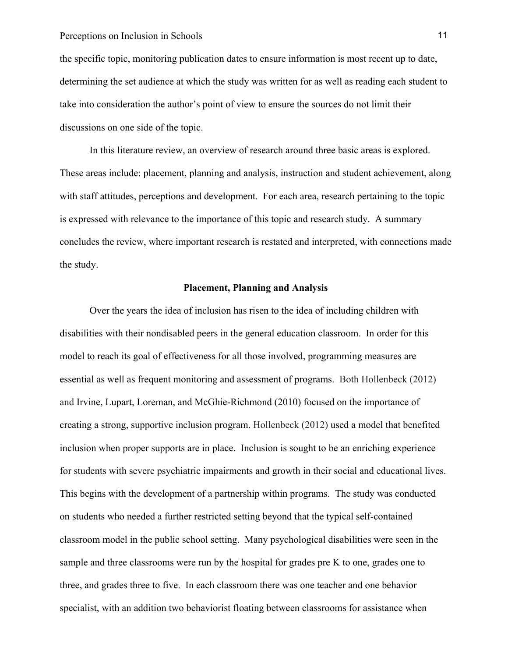the specific topic, monitoring publication dates to ensure information is most recent up to date, determining the set audience at which the study was written for as well as reading each student to take into consideration the author's point of view to ensure the sources do not limit their discussions on one side of the topic.

In this literature review, an overview of research around three basic areas is explored. These areas include: placement, planning and analysis, instruction and student achievement, along with staff attitudes, perceptions and development. For each area, research pertaining to the topic is expressed with relevance to the importance of this topic and research study. A summary concludes the review, where important research is restated and interpreted, with connections made the study.

#### **Placement, Planning and Analysis**

Over the years the idea of inclusion has risen to the idea of including children with disabilities with their nondisabled peers in the general education classroom. In order for this model to reach its goal of effectiveness for all those involved, programming measures are essential as well as frequent monitoring and assessment of programs. Both Hollenbeck (2012) and Irvine, Lupart, Loreman, and McGhie-Richmond (2010) focused on the importance of creating a strong, supportive inclusion program. Hollenbeck (2012) used a model that benefited inclusion when proper supports are in place. Inclusion is sought to be an enriching experience for students with severe psychiatric impairments and growth in their social and educational lives. This begins with the development of a partnership within programs. The study was conducted on students who needed a further restricted setting beyond that the typical self-contained classroom model in the public school setting. Many psychological disabilities were seen in the sample and three classrooms were run by the hospital for grades pre K to one, grades one to three, and grades three to five. In each classroom there was one teacher and one behavior specialist, with an addition two behaviorist floating between classrooms for assistance when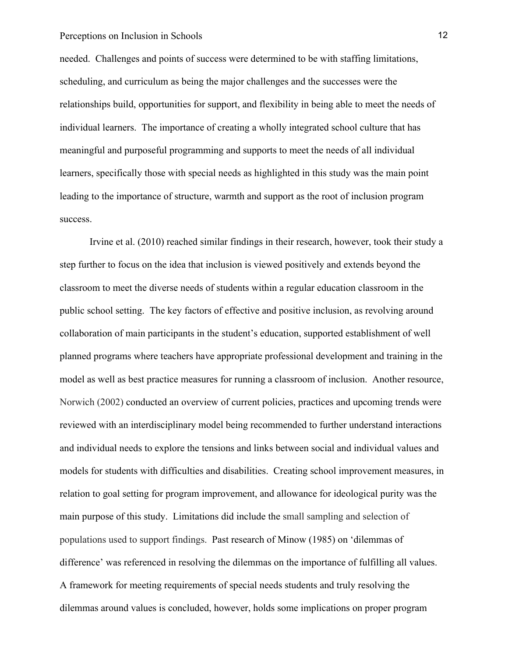needed. Challenges and points of success were determined to be with staffing limitations, scheduling, and curriculum as being the major challenges and the successes were the relationships build, opportunities for support, and flexibility in being able to meet the needs of individual learners. The importance of creating a wholly integrated school culture that has meaningful and purposeful programming and supports to meet the needs of all individual learners, specifically those with special needs as highlighted in this study was the main point leading to the importance of structure, warmth and support as the root of inclusion program success.

Irvine et al. (2010) reached similar findings in their research, however, took their study a step further to focus on the idea that inclusion is viewed positively and extends beyond the classroom to meet the diverse needs of students within a regular education classroom in the public school setting. The key factors of effective and positive inclusion, as revolving around collaboration of main participants in the student's education, supported establishment of well planned programs where teachers have appropriate professional development and training in the model as well as best practice measures for running a classroom of inclusion. Another resource, Norwich (2002) conducted an overview of current policies, practices and upcoming trends were reviewed with an interdisciplinary model being recommended to further understand interactions and individual needs to explore the tensions and links between social and individual values and models for students with difficulties and disabilities. Creating school improvement measures, in relation to goal setting for program improvement, and allowance for ideological purity was the main purpose of this study. Limitations did include the small sampling and selection of populations used to support findings. Past research of Minow (1985) on 'dilemmas of difference' was referenced in resolving the dilemmas on the importance of fulfilling all values. A framework for meeting requirements of special needs students and truly resolving the dilemmas around values is concluded, however, holds some implications on proper program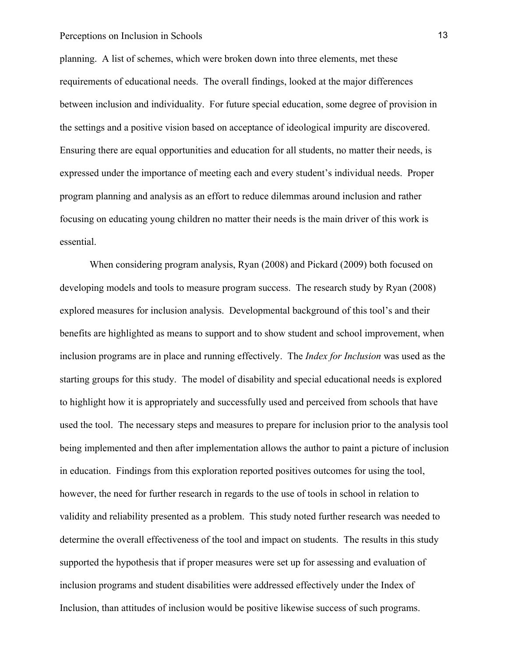planning. A list of schemes, which were broken down into three elements, met these requirements of educational needs. The overall findings, looked at the major differences between inclusion and individuality. For future special education, some degree of provision in the settings and a positive vision based on acceptance of ideological impurity are discovered. Ensuring there are equal opportunities and education for all students, no matter their needs, is expressed under the importance of meeting each and every student's individual needs. Proper program planning and analysis as an effort to reduce dilemmas around inclusion and rather focusing on educating young children no matter their needs is the main driver of this work is essential.

When considering program analysis, Ryan (2008) and Pickard (2009) both focused on developing models and tools to measure program success. The research study by Ryan (2008) explored measures for inclusion analysis. Developmental background of this tool's and their benefits are highlighted as means to support and to show student and school improvement, when inclusion programs are in place and running effectively. The *Index for Inclusion* was used as the starting groups for this study. The model of disability and special educational needs is explored to highlight how it is appropriately and successfully used and perceived from schools that have used the tool. The necessary steps and measures to prepare for inclusion prior to the analysis tool being implemented and then after implementation allows the author to paint a picture of inclusion in education. Findings from this exploration reported positives outcomes for using the tool, however, the need for further research in regards to the use of tools in school in relation to validity and reliability presented as a problem. This study noted further research was needed to determine the overall effectiveness of the tool and impact on students. The results in this study supported the hypothesis that if proper measures were set up for assessing and evaluation of inclusion programs and student disabilities were addressed effectively under the Index of Inclusion, than attitudes of inclusion would be positive likewise success of such programs.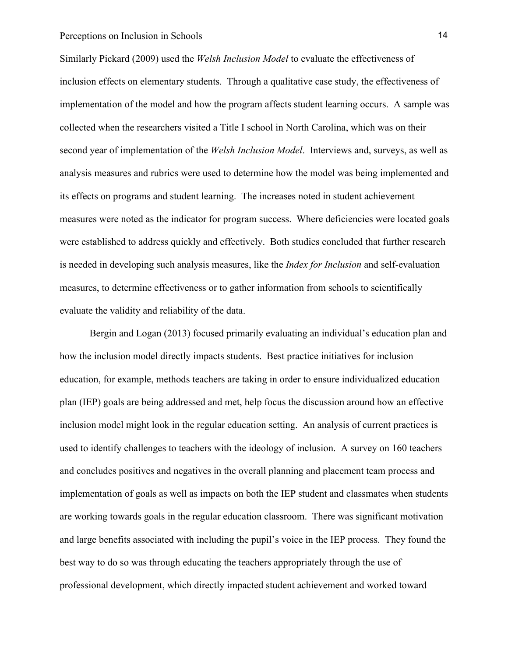Similarly Pickard (2009) used the *Welsh Inclusion Model* to evaluate the effectiveness of inclusion effects on elementary students. Through a qualitative case study, the effectiveness of implementation of the model and how the program affects student learning occurs. A sample was collected when the researchers visited a Title I school in North Carolina, which was on their second year of implementation of the *Welsh Inclusion Model*. Interviews and, surveys, as well as analysis measures and rubrics were used to determine how the model was being implemented and its effects on programs and student learning. The increases noted in student achievement measures were noted as the indicator for program success. Where deficiencies were located goals were established to address quickly and effectively. Both studies concluded that further research is needed in developing such analysis measures, like the *Index for Inclusion* and self-evaluation measures, to determine effectiveness or to gather information from schools to scientifically evaluate the validity and reliability of the data.

Bergin and Logan (2013) focused primarily evaluating an individual's education plan and how the inclusion model directly impacts students. Best practice initiatives for inclusion education, for example, methods teachers are taking in order to ensure individualized education plan (IEP) goals are being addressed and met, help focus the discussion around how an effective inclusion model might look in the regular education setting. An analysis of current practices is used to identify challenges to teachers with the ideology of inclusion. A survey on 160 teachers and concludes positives and negatives in the overall planning and placement team process and implementation of goals as well as impacts on both the IEP student and classmates when students are working towards goals in the regular education classroom. There was significant motivation and large benefits associated with including the pupil's voice in the IEP process. They found the best way to do so was through educating the teachers appropriately through the use of professional development, which directly impacted student achievement and worked toward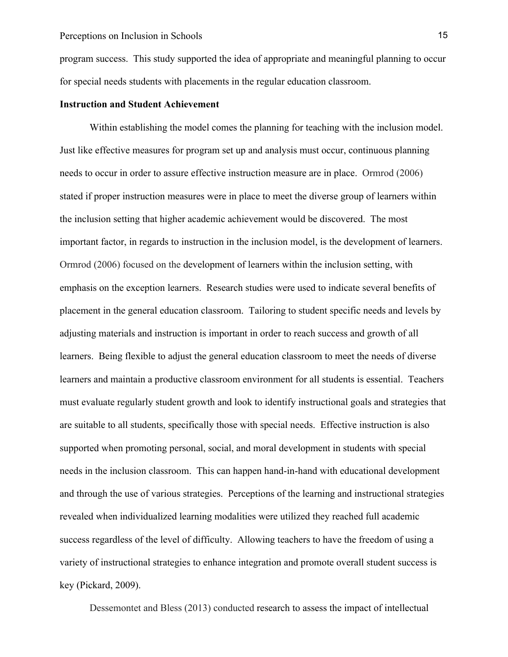program success. This study supported the idea of appropriate and meaningful planning to occur for special needs students with placements in the regular education classroom.

#### **Instruction and Student Achievement**

Within establishing the model comes the planning for teaching with the inclusion model. Just like effective measures for program set up and analysis must occur, continuous planning needs to occur in order to assure effective instruction measure are in place. Ormrod (2006) stated if proper instruction measures were in place to meet the diverse group of learners within the inclusion setting that higher academic achievement would be discovered. The most important factor, in regards to instruction in the inclusion model, is the development of learners. Ormrod (2006) focused on the development of learners within the inclusion setting, with emphasis on the exception learners. Research studies were used to indicate several benefits of placement in the general education classroom. Tailoring to student specific needs and levels by adjusting materials and instruction is important in order to reach success and growth of all learners. Being flexible to adjust the general education classroom to meet the needs of diverse learners and maintain a productive classroom environment for all students is essential. Teachers must evaluate regularly student growth and look to identify instructional goals and strategies that are suitable to all students, specifically those with special needs. Effective instruction is also supported when promoting personal, social, and moral development in students with special needs in the inclusion classroom. This can happen hand-in-hand with educational development and through the use of various strategies. Perceptions of the learning and instructional strategies revealed when individualized learning modalities were utilized they reached full academic success regardless of the level of difficulty. Allowing teachers to have the freedom of using a variety of instructional strategies to enhance integration and promote overall student success is key (Pickard, 2009).

Dessemontet and Bless (2013) conducted research to assess the impact of intellectual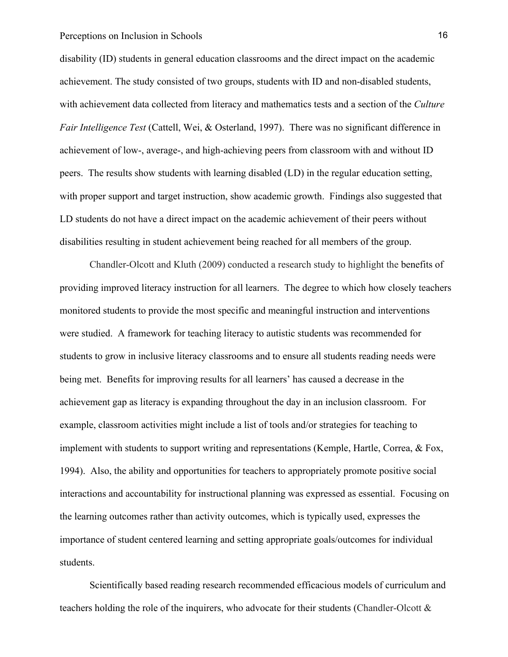disability (ID) students in general education classrooms and the direct impact on the academic achievement. The study consisted of two groups, students with ID and non-disabled students, with achievement data collected from literacy and mathematics tests and a section of the *Culture Fair Intelligence Test* (Cattell, Wei, & Osterland, 1997). There was no significant difference in achievement of low-, average-, and high-achieving peers from classroom with and without ID peers. The results show students with learning disabled (LD) in the regular education setting, with proper support and target instruction, show academic growth. Findings also suggested that LD students do not have a direct impact on the academic achievement of their peers without disabilities resulting in student achievement being reached for all members of the group.

Chandler-Olcott and Kluth (2009) conducted a research study to highlight the benefits of providing improved literacy instruction for all learners. The degree to which how closely teachers monitored students to provide the most specific and meaningful instruction and interventions were studied. A framework for teaching literacy to autistic students was recommended for students to grow in inclusive literacy classrooms and to ensure all students reading needs were being met. Benefits for improving results for all learners' has caused a decrease in the achievement gap as literacy is expanding throughout the day in an inclusion classroom. For example, classroom activities might include a list of tools and/or strategies for teaching to implement with students to support writing and representations (Kemple, Hartle, Correa, & Fox, 1994). Also, the ability and opportunities for teachers to appropriately promote positive social interactions and accountability for instructional planning was expressed as essential. Focusing on the learning outcomes rather than activity outcomes, which is typically used, expresses the importance of student centered learning and setting appropriate goals/outcomes for individual students.

Scientifically based reading research recommended efficacious models of curriculum and teachers holding the role of the inquirers, who advocate for their students (Chandler-Olcott &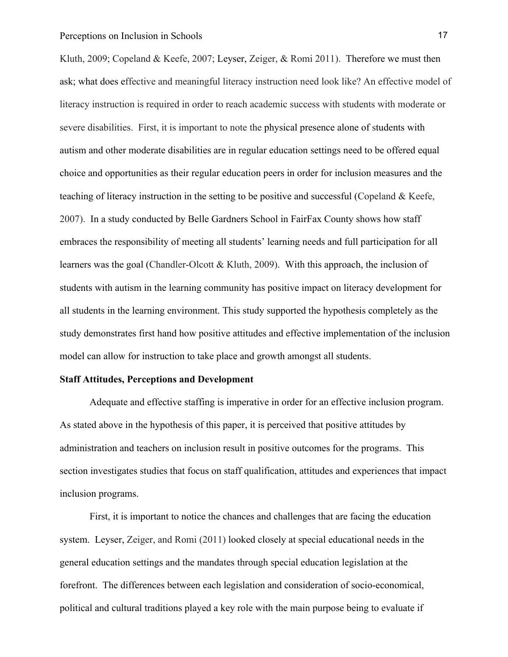Kluth, 2009; Copeland & Keefe, 2007; Leyser, Zeiger, & Romi 2011). Therefore we must then ask; what does effective and meaningful literacy instruction need look like? An effective model of literacy instruction is required in order to reach academic success with students with moderate or severe disabilities. First, it is important to note the physical presence alone of students with autism and other moderate disabilities are in regular education settings need to be offered equal choice and opportunities as their regular education peers in order for inclusion measures and the teaching of literacy instruction in the setting to be positive and successful (Copeland & Keefe, 2007). In a study conducted by Belle Gardners School in FairFax County shows how staff embraces the responsibility of meeting all students' learning needs and full participation for all learners was the goal (Chandler-Olcott & Kluth, 2009). With this approach, the inclusion of students with autism in the learning community has positive impact on literacy development for all students in the learning environment. This study supported the hypothesis completely as the study demonstrates first hand how positive attitudes and effective implementation of the inclusion model can allow for instruction to take place and growth amongst all students.

#### **Staff Attitudes, Perceptions and Development**

Adequate and effective staffing is imperative in order for an effective inclusion program. As stated above in the hypothesis of this paper, it is perceived that positive attitudes by administration and teachers on inclusion result in positive outcomes for the programs. This section investigates studies that focus on staff qualification, attitudes and experiences that impact inclusion programs.

First, it is important to notice the chances and challenges that are facing the education system. Leyser, Zeiger, and Romi (2011) looked closely at special educational needs in the general education settings and the mandates through special education legislation at the forefront. The differences between each legislation and consideration of socio-economical, political and cultural traditions played a key role with the main purpose being to evaluate if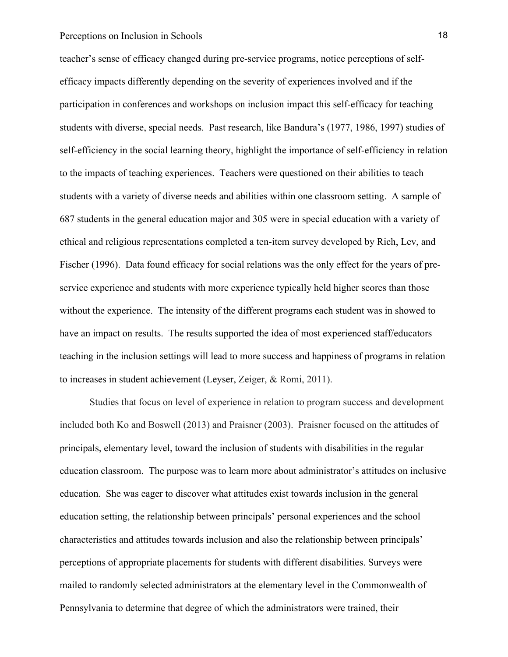teacher's sense of efficacy changed during pre-service programs, notice perceptions of selfefficacy impacts differently depending on the severity of experiences involved and if the participation in conferences and workshops on inclusion impact this self-efficacy for teaching students with diverse, special needs. Past research, like Bandura's (1977, 1986, 1997) studies of self-efficiency in the social learning theory, highlight the importance of self-efficiency in relation to the impacts of teaching experiences. Teachers were questioned on their abilities to teach students with a variety of diverse needs and abilities within one classroom setting. A sample of 687 students in the general education major and 305 were in special education with a variety of ethical and religious representations completed a ten-item survey developed by Rich, Lev, and Fischer (1996). Data found efficacy for social relations was the only effect for the years of preservice experience and students with more experience typically held higher scores than those without the experience. The intensity of the different programs each student was in showed to have an impact on results. The results supported the idea of most experienced staff/educators teaching in the inclusion settings will lead to more success and happiness of programs in relation to increases in student achievement (Leyser, Zeiger, & Romi, 2011).

Studies that focus on level of experience in relation to program success and development included both Ko and Boswell (2013) and Praisner (2003). Praisner focused on the attitudes of principals, elementary level, toward the inclusion of students with disabilities in the regular education classroom. The purpose was to learn more about administrator's attitudes on inclusive education. She was eager to discover what attitudes exist towards inclusion in the general education setting, the relationship between principals' personal experiences and the school characteristics and attitudes towards inclusion and also the relationship between principals' perceptions of appropriate placements for students with different disabilities. Surveys were mailed to randomly selected administrators at the elementary level in the Commonwealth of Pennsylvania to determine that degree of which the administrators were trained, their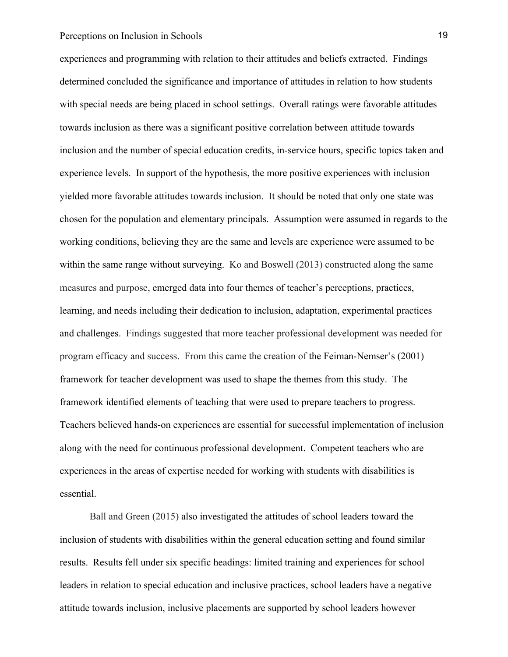experiences and programming with relation to their attitudes and beliefs extracted. Findings determined concluded the significance and importance of attitudes in relation to how students with special needs are being placed in school settings. Overall ratings were favorable attitudes towards inclusion as there was a significant positive correlation between attitude towards inclusion and the number of special education credits, in-service hours, specific topics taken and experience levels. In support of the hypothesis, the more positive experiences with inclusion yielded more favorable attitudes towards inclusion. It should be noted that only one state was chosen for the population and elementary principals. Assumption were assumed in regards to the working conditions, believing they are the same and levels are experience were assumed to be within the same range without surveying. Ko and Boswell (2013) constructed along the same measures and purpose, emerged data into four themes of teacher's perceptions, practices, learning, and needs including their dedication to inclusion, adaptation, experimental practices and challenges. Findings suggested that more teacher professional development was needed for program efficacy and success. From this came the creation of the Feiman-Nemser's (2001) framework for teacher development was used to shape the themes from this study. The framework identified elements of teaching that were used to prepare teachers to progress. Teachers believed hands-on experiences are essential for successful implementation of inclusion along with the need for continuous professional development. Competent teachers who are experiences in the areas of expertise needed for working with students with disabilities is essential.

Ball and Green (2015) also investigated the attitudes of school leaders toward the inclusion of students with disabilities within the general education setting and found similar results. Results fell under six specific headings: limited training and experiences for school leaders in relation to special education and inclusive practices, school leaders have a negative attitude towards inclusion, inclusive placements are supported by school leaders however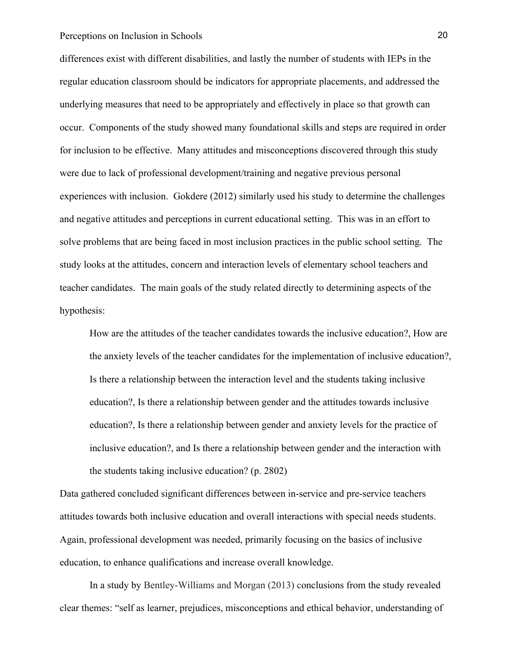differences exist with different disabilities, and lastly the number of students with IEPs in the regular education classroom should be indicators for appropriate placements, and addressed the underlying measures that need to be appropriately and effectively in place so that growth can occur. Components of the study showed many foundational skills and steps are required in order for inclusion to be effective. Many attitudes and misconceptions discovered through this study were due to lack of professional development/training and negative previous personal experiences with inclusion. Gokdere (2012) similarly used his study to determine the challenges and negative attitudes and perceptions in current educational setting. This was in an effort to solve problems that are being faced in most inclusion practices in the public school setting. The study looks at the attitudes, concern and interaction levels of elementary school teachers and teacher candidates. The main goals of the study related directly to determining aspects of the hypothesis:

How are the attitudes of the teacher candidates towards the inclusive education?, How are the anxiety levels of the teacher candidates for the implementation of inclusive education?, Is there a relationship between the interaction level and the students taking inclusive education?, Is there a relationship between gender and the attitudes towards inclusive education?, Is there a relationship between gender and anxiety levels for the practice of inclusive education?, and Is there a relationship between gender and the interaction with the students taking inclusive education? (p. 2802)

Data gathered concluded significant differences between in-service and pre-service teachers attitudes towards both inclusive education and overall interactions with special needs students. Again, professional development was needed, primarily focusing on the basics of inclusive education, to enhance qualifications and increase overall knowledge.

In a study by Bentley-Williams and Morgan (2013) conclusions from the study revealed clear themes: "self as learner, prejudices, misconceptions and ethical behavior, understanding of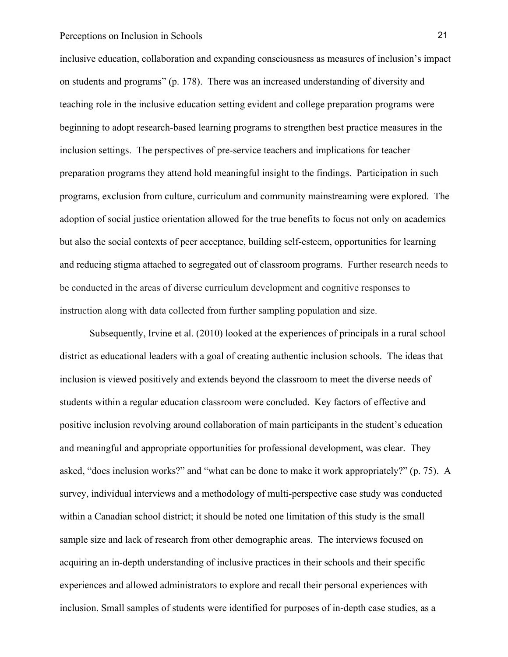inclusive education, collaboration and expanding consciousness as measures of inclusion's impact on students and programs" (p. 178). There was an increased understanding of diversity and teaching role in the inclusive education setting evident and college preparation programs were beginning to adopt research-based learning programs to strengthen best practice measures in the inclusion settings. The perspectives of pre-service teachers and implications for teacher preparation programs they attend hold meaningful insight to the findings. Participation in such programs, exclusion from culture, curriculum and community mainstreaming were explored. The adoption of social justice orientation allowed for the true benefits to focus not only on academics but also the social contexts of peer acceptance, building self-esteem, opportunities for learning and reducing stigma attached to segregated out of classroom programs. Further research needs to be conducted in the areas of diverse curriculum development and cognitive responses to instruction along with data collected from further sampling population and size.

Subsequently, Irvine et al. (2010) looked at the experiences of principals in a rural school district as educational leaders with a goal of creating authentic inclusion schools. The ideas that inclusion is viewed positively and extends beyond the classroom to meet the diverse needs of students within a regular education classroom were concluded. Key factors of effective and positive inclusion revolving around collaboration of main participants in the student's education and meaningful and appropriate opportunities for professional development, was clear. They asked, "does inclusion works?" and "what can be done to make it work appropriately?" (p. 75). A survey, individual interviews and a methodology of multi-perspective case study was conducted within a Canadian school district; it should be noted one limitation of this study is the small sample size and lack of research from other demographic areas. The interviews focused on acquiring an in-depth understanding of inclusive practices in their schools and their specific experiences and allowed administrators to explore and recall their personal experiences with inclusion. Small samples of students were identified for purposes of in-depth case studies, as a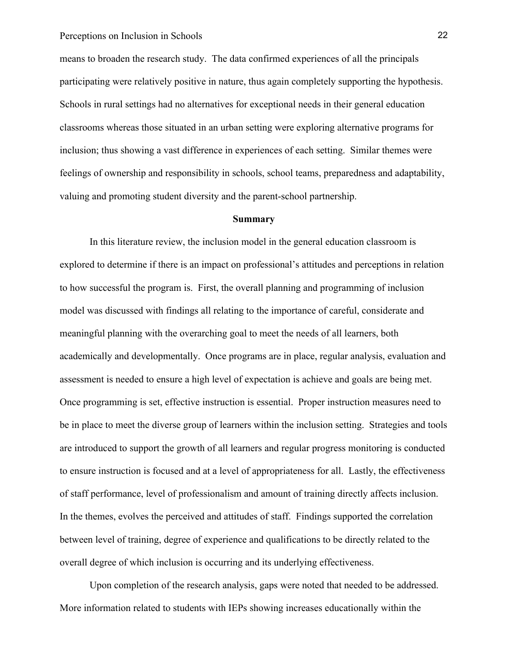means to broaden the research study. The data confirmed experiences of all the principals participating were relatively positive in nature, thus again completely supporting the hypothesis. Schools in rural settings had no alternatives for exceptional needs in their general education classrooms whereas those situated in an urban setting were exploring alternative programs for inclusion; thus showing a vast difference in experiences of each setting. Similar themes were feelings of ownership and responsibility in schools, school teams, preparedness and adaptability, valuing and promoting student diversity and the parent-school partnership.

#### **Summary**

In this literature review, the inclusion model in the general education classroom is explored to determine if there is an impact on professional's attitudes and perceptions in relation to how successful the program is. First, the overall planning and programming of inclusion model was discussed with findings all relating to the importance of careful, considerate and meaningful planning with the overarching goal to meet the needs of all learners, both academically and developmentally. Once programs are in place, regular analysis, evaluation and assessment is needed to ensure a high level of expectation is achieve and goals are being met. Once programming is set, effective instruction is essential. Proper instruction measures need to be in place to meet the diverse group of learners within the inclusion setting. Strategies and tools are introduced to support the growth of all learners and regular progress monitoring is conducted to ensure instruction is focused and at a level of appropriateness for all. Lastly, the effectiveness of staff performance, level of professionalism and amount of training directly affects inclusion. In the themes, evolves the perceived and attitudes of staff. Findings supported the correlation between level of training, degree of experience and qualifications to be directly related to the overall degree of which inclusion is occurring and its underlying effectiveness.

Upon completion of the research analysis, gaps were noted that needed to be addressed. More information related to students with IEPs showing increases educationally within the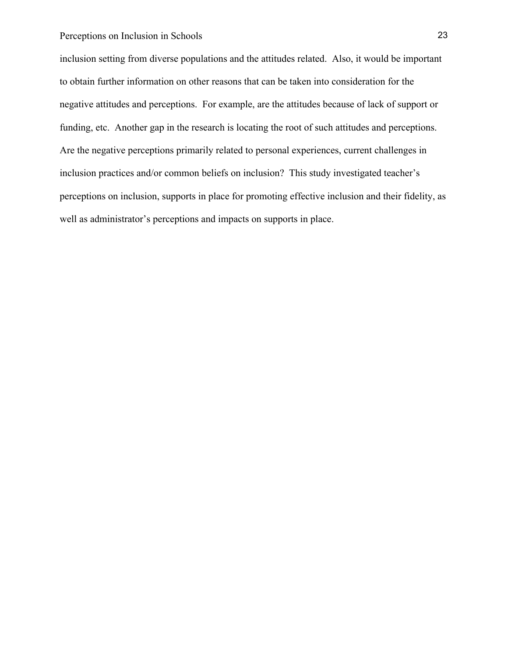inclusion setting from diverse populations and the attitudes related. Also, it would be important to obtain further information on other reasons that can be taken into consideration for the negative attitudes and perceptions. For example, are the attitudes because of lack of support or funding, etc. Another gap in the research is locating the root of such attitudes and perceptions. Are the negative perceptions primarily related to personal experiences, current challenges in inclusion practices and/or common beliefs on inclusion? This study investigated teacher's perceptions on inclusion, supports in place for promoting effective inclusion and their fidelity, as well as administrator's perceptions and impacts on supports in place.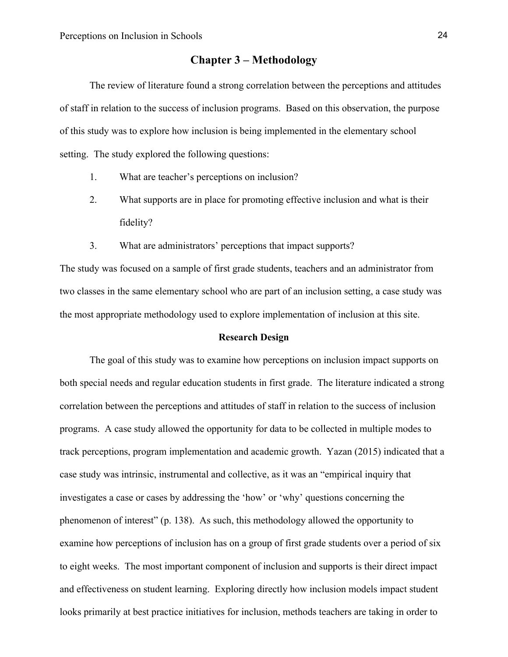# **Chapter 3 – Methodology**

The review of literature found a strong correlation between the perceptions and attitudes of staff in relation to the success of inclusion programs. Based on this observation, the purpose of this study was to explore how inclusion is being implemented in the elementary school setting. The study explored the following questions:

- 1. What are teacher's perceptions on inclusion?
- 2. What supports are in place for promoting effective inclusion and what is their fidelity?
- 3. What are administrators' perceptions that impact supports?

The study was focused on a sample of first grade students, teachers and an administrator from two classes in the same elementary school who are part of an inclusion setting, a case study was the most appropriate methodology used to explore implementation of inclusion at this site.

#### **Research Design**

The goal of this study was to examine how perceptions on inclusion impact supports on both special needs and regular education students in first grade. The literature indicated a strong correlation between the perceptions and attitudes of staff in relation to the success of inclusion programs. A case study allowed the opportunity for data to be collected in multiple modes to track perceptions, program implementation and academic growth. Yazan (2015) indicated that a case study was intrinsic, instrumental and collective, as it was an "empirical inquiry that investigates a case or cases by addressing the 'how' or 'why' questions concerning the phenomenon of interest" (p. 138). As such, this methodology allowed the opportunity to examine how perceptions of inclusion has on a group of first grade students over a period of six to eight weeks. The most important component of inclusion and supports is their direct impact and effectiveness on student learning. Exploring directly how inclusion models impact student looks primarily at best practice initiatives for inclusion, methods teachers are taking in order to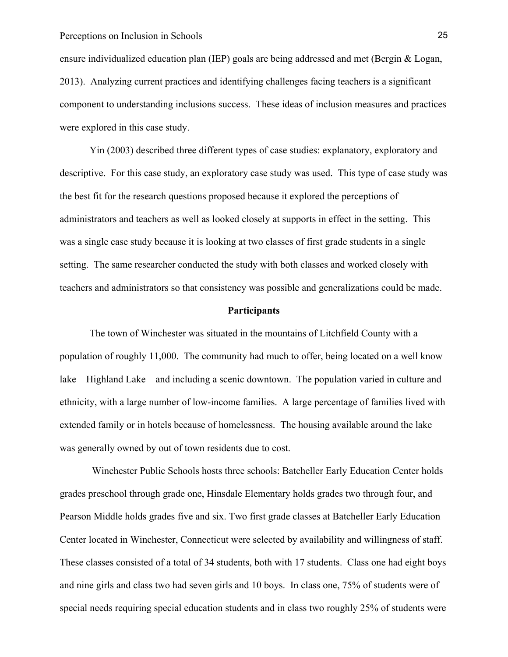ensure individualized education plan (IEP) goals are being addressed and met (Bergin & Logan, 2013). Analyzing current practices and identifying challenges facing teachers is a significant component to understanding inclusions success. These ideas of inclusion measures and practices were explored in this case study.

Yin (2003) described three different types of case studies: explanatory, exploratory and descriptive. For this case study, an exploratory case study was used. This type of case study was the best fit for the research questions proposed because it explored the perceptions of administrators and teachers as well as looked closely at supports in effect in the setting. This was a single case study because it is looking at two classes of first grade students in a single setting. The same researcher conducted the study with both classes and worked closely with teachers and administrators so that consistency was possible and generalizations could be made.

#### **Participants**

The town of Winchester was situated in the mountains of Litchfield County with a population of roughly 11,000. The community had much to offer, being located on a well know lake – Highland Lake – and including a scenic downtown. The population varied in culture and ethnicity, with a large number of low-income families. A large percentage of families lived with extended family or in hotels because of homelessness. The housing available around the lake was generally owned by out of town residents due to cost.

Winchester Public Schools hosts three schools: Batcheller Early Education Center holds grades preschool through grade one, Hinsdale Elementary holds grades two through four, and Pearson Middle holds grades five and six. Two first grade classes at Batcheller Early Education Center located in Winchester, Connecticut were selected by availability and willingness of staff. These classes consisted of a total of 34 students, both with 17 students. Class one had eight boys and nine girls and class two had seven girls and 10 boys. In class one, 75% of students were of special needs requiring special education students and in class two roughly 25% of students were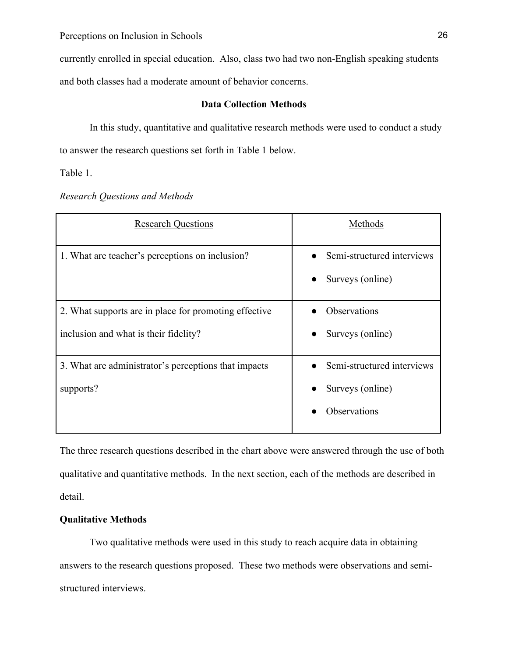currently enrolled in special education. Also, class two had two non-English speaking students and both classes had a moderate amount of behavior concerns.

# **Data Collection Methods**

In this study, quantitative and qualitative research methods were used to conduct a study to answer the research questions set forth in Table 1 below.

Table 1.

|  | <b>Research Questions and Methods</b> |  |
|--|---------------------------------------|--|
|  |                                       |  |

| <b>Research Questions</b>                                                                      | Methods                                                               |
|------------------------------------------------------------------------------------------------|-----------------------------------------------------------------------|
| 1. What are teacher's perceptions on inclusion?                                                | Semi-structured interviews<br>Surveys (online)                        |
| 2. What supports are in place for promoting effective<br>inclusion and what is their fidelity? | Observations<br>Surveys (online)                                      |
| 3. What are administrator's perceptions that impacts<br>supports?                              | Semi-structured interviews<br>Surveys (online)<br><b>Observations</b> |

The three research questions described in the chart above were answered through the use of both qualitative and quantitative methods. In the next section, each of the methods are described in detail.

# **Qualitative Methods**

Two qualitative methods were used in this study to reach acquire data in obtaining answers to the research questions proposed. These two methods were observations and semistructured interviews.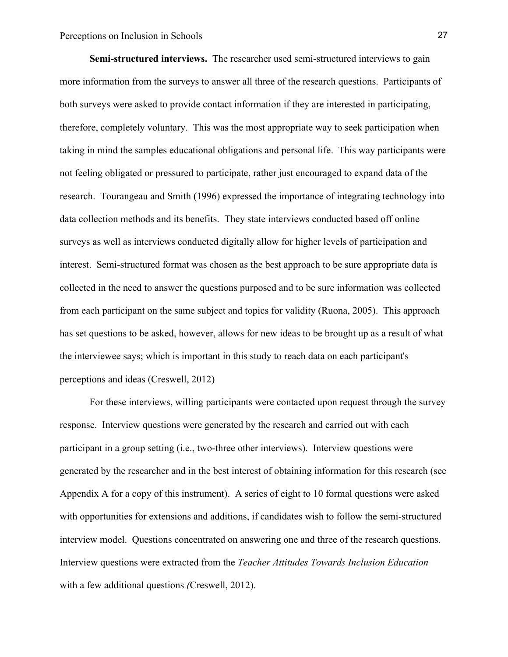**Semi-structured interviews.** The researcher used semi-structured interviews to gain more information from the surveys to answer all three of the research questions. Participants of both surveys were asked to provide contact information if they are interested in participating, therefore, completely voluntary. This was the most appropriate way to seek participation when taking in mind the samples educational obligations and personal life. This way participants were not feeling obligated or pressured to participate, rather just encouraged to expand data of the research. Tourangeau and Smith (1996) expressed the importance of integrating technology into data collection methods and its benefits. They state interviews conducted based off online surveys as well as interviews conducted digitally allow for higher levels of participation and interest. Semi-structured format was chosen as the best approach to be sure appropriate data is collected in the need to answer the questions purposed and to be sure information was collected from each participant on the same subject and topics for validity (Ruona, 2005). This approach has set questions to be asked, however, allows for new ideas to be brought up as a result of what the interviewee says; which is important in this study to reach data on each participant's perceptions and ideas (Creswell, 2012)

For these interviews, willing participants were contacted upon request through the survey response. Interview questions were generated by the research and carried out with each participant in a group setting (i.e., two-three other interviews). Interview questions were generated by the researcher and in the best interest of obtaining information for this research (see Appendix A for a copy of this instrument). A series of eight to 10 formal questions were asked with opportunities for extensions and additions, if candidates wish to follow the semi-structured interview model. Questions concentrated on answering one and three of the research questions. Interview questions were extracted from the *Teacher Attitudes Towards Inclusion Education* with a few additional questions *(*Creswell, 2012).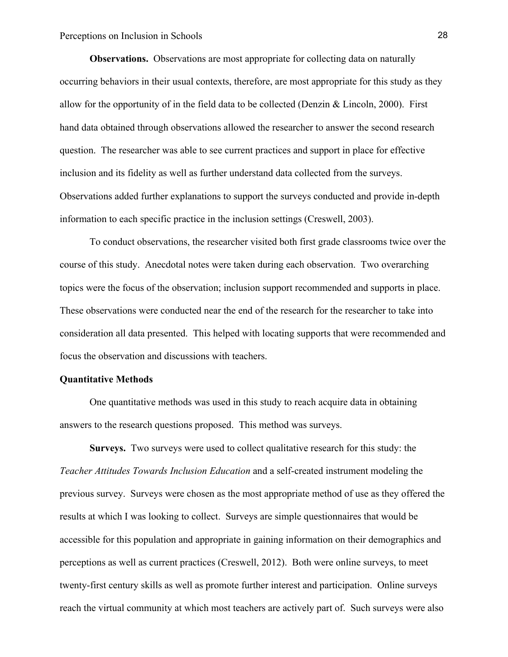**Observations.** Observations are most appropriate for collecting data on naturally occurring behaviors in their usual contexts, therefore, are most appropriate for this study as they allow for the opportunity of in the field data to be collected (Denzin  $& Lincoln, 2000$ ). First hand data obtained through observations allowed the researcher to answer the second research question. The researcher was able to see current practices and support in place for effective inclusion and its fidelity as well as further understand data collected from the surveys. Observations added further explanations to support the surveys conducted and provide in-depth information to each specific practice in the inclusion settings (Creswell, 2003).

To conduct observations, the researcher visited both first grade classrooms twice over the course of this study. Anecdotal notes were taken during each observation. Two overarching topics were the focus of the observation; inclusion support recommended and supports in place. These observations were conducted near the end of the research for the researcher to take into consideration all data presented. This helped with locating supports that were recommended and focus the observation and discussions with teachers.

#### **Quantitative Methods**

One quantitative methods was used in this study to reach acquire data in obtaining answers to the research questions proposed. This method was surveys.

**Surveys.** Two surveys were used to collect qualitative research for this study: the *Teacher Attitudes Towards Inclusion Education* and a self-created instrument modeling the previous survey. Surveys were chosen as the most appropriate method of use as they offered the results at which I was looking to collect. Surveys are simple questionnaires that would be accessible for this population and appropriate in gaining information on their demographics and perceptions as well as current practices (Creswell, 2012). Both were online surveys, to meet twenty-first century skills as well as promote further interest and participation. Online surveys reach the virtual community at which most teachers are actively part of. Such surveys were also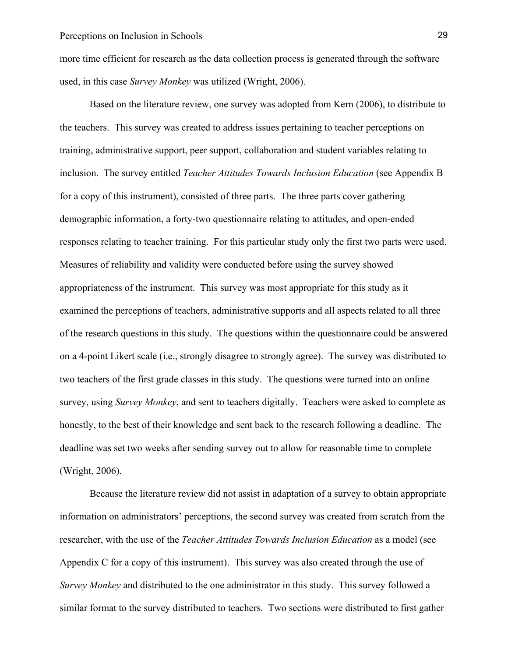more time efficient for research as the data collection process is generated through the software used, in this case *Survey Monkey* was utilized (Wright, 2006).

Based on the literature review, one survey was adopted from Kern (2006), to distribute to the teachers. This survey was created to address issues pertaining to teacher perceptions on training, administrative support, peer support, collaboration and student variables relating to inclusion. The survey entitled *Teacher Attitudes Towards Inclusion Education* (see Appendix B for a copy of this instrument), consisted of three parts. The three parts cover gathering demographic information, a forty-two questionnaire relating to attitudes, and open-ended responses relating to teacher training. For this particular study only the first two parts were used. Measures of reliability and validity were conducted before using the survey showed appropriateness of the instrument. This survey was most appropriate for this study as it examined the perceptions of teachers, administrative supports and all aspects related to all three of the research questions in this study. The questions within the questionnaire could be answered on a 4-point Likert scale (i.e., strongly disagree to strongly agree). The survey was distributed to two teachers of the first grade classes in this study. The questions were turned into an online survey, using *Survey Monkey*, and sent to teachers digitally. Teachers were asked to complete as honestly, to the best of their knowledge and sent back to the research following a deadline. The deadline was set two weeks after sending survey out to allow for reasonable time to complete (Wright, 2006).

Because the literature review did not assist in adaptation of a survey to obtain appropriate information on administrators' perceptions, the second survey was created from scratch from the researcher, with the use of the *Teacher Attitudes Towards Inclusion Education* as a model (see Appendix C for a copy of this instrument). This survey was also created through the use of *Survey Monkey* and distributed to the one administrator in this study. This survey followed a similar format to the survey distributed to teachers. Two sections were distributed to first gather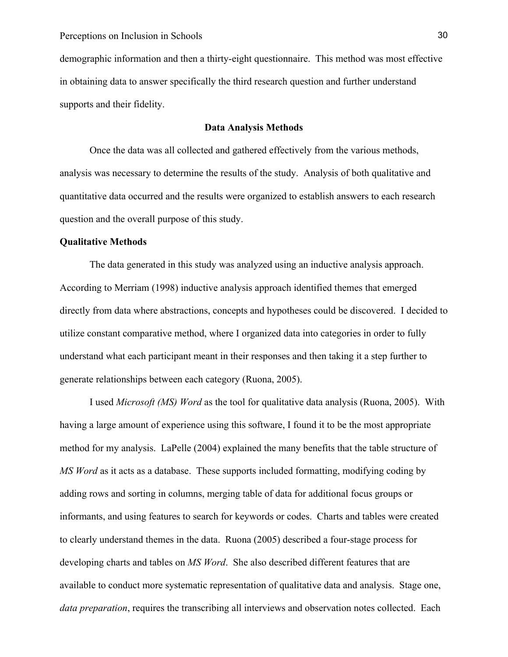demographic information and then a thirty-eight questionnaire. This method was most effective in obtaining data to answer specifically the third research question and further understand supports and their fidelity.

#### **Data Analysis Methods**

Once the data was all collected and gathered effectively from the various methods, analysis was necessary to determine the results of the study. Analysis of both qualitative and quantitative data occurred and the results were organized to establish answers to each research question and the overall purpose of this study.

#### **Qualitative Methods**

The data generated in this study was analyzed using an inductive analysis approach. According to Merriam (1998) inductive analysis approach identified themes that emerged directly from data where abstractions, concepts and hypotheses could be discovered. I decided to utilize constant comparative method, where I organized data into categories in order to fully understand what each participant meant in their responses and then taking it a step further to generate relationships between each category (Ruona, 2005).

I used *Microsoft (MS) Word* as the tool for qualitative data analysis (Ruona, 2005). With having a large amount of experience using this software, I found it to be the most appropriate method for my analysis. LaPelle (2004) explained the many benefits that the table structure of *MS Word* as it acts as a database. These supports included formatting, modifying coding by adding rows and sorting in columns, merging table of data for additional focus groups or informants, and using features to search for keywords or codes. Charts and tables were created to clearly understand themes in the data. Ruona (2005) described a four-stage process for developing charts and tables on *MS Word*. She also described different features that are available to conduct more systematic representation of qualitative data and analysis. Stage one, *data preparation*, requires the transcribing all interviews and observation notes collected. Each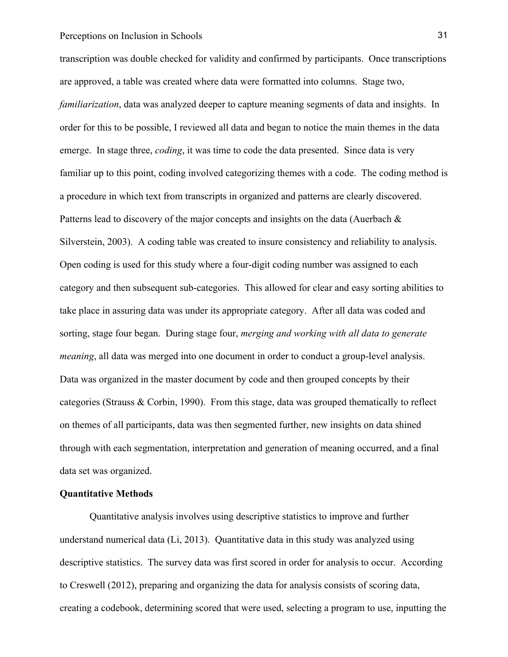transcription was double checked for validity and confirmed by participants. Once transcriptions are approved, a table was created where data were formatted into columns. Stage two, *familiarization*, data was analyzed deeper to capture meaning segments of data and insights. In order for this to be possible, I reviewed all data and began to notice the main themes in the data emerge. In stage three, *coding*, it was time to code the data presented. Since data is very familiar up to this point, coding involved categorizing themes with a code. The coding method is a procedure in which text from transcripts in organized and patterns are clearly discovered. Patterns lead to discovery of the major concepts and insights on the data (Auerbach & Silverstein, 2003). A coding table was created to insure consistency and reliability to analysis. Open coding is used for this study where a four-digit coding number was assigned to each category and then subsequent sub-categories. This allowed for clear and easy sorting abilities to take place in assuring data was under its appropriate category. After all data was coded and sorting, stage four began. During stage four, *merging and working with all data to generate meaning*, all data was merged into one document in order to conduct a group-level analysis. Data was organized in the master document by code and then grouped concepts by their categories (Strauss & Corbin, 1990). From this stage, data was grouped thematically to reflect on themes of all participants, data was then segmented further, new insights on data shined through with each segmentation, interpretation and generation of meaning occurred, and a final data set was organized.

#### **Quantitative Methods**

Quantitative analysis involves using descriptive statistics to improve and further understand numerical data (Li, 2013). Quantitative data in this study was analyzed using descriptive statistics. The survey data was first scored in order for analysis to occur. According to Creswell (2012), preparing and organizing the data for analysis consists of scoring data, creating a codebook, determining scored that were used, selecting a program to use, inputting the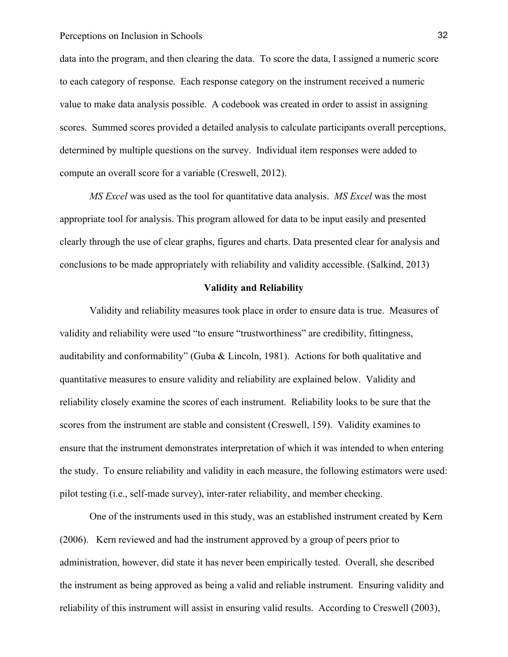data into the program, and then clearing the data. To score the data, I assigned a numeric score to each category of response. Each response category on the instrument received a numeric value to make data analysis possible. A codebook was created in order to assist in assigning scores. Summed scores provided a detailed analysis to calculate participants overall perceptions, determined by multiple questions on the survey. Individual item responses were added to compute an overall score for a variable (Creswell, 2012).

*MS Excel* was used as the tool for quantitative data analysis. *MS Excel* was the most appropriate tool for analysis. This program allowed for data to be input easily and presented clearly through the use of clear graphs, figures and charts. Data presented clear for analysis and conclusions to be made appropriately with reliability and validity accessible. (Salkind, 2013)

#### **Validity and Reliability**

Validity and reliability measures took place in order to ensure data is true. Measures of validity and reliability were used "to ensure "trustworthiness" are credibility, fittingness, auditability and conformability" (Guba & Lincoln, 1981). Actions for both qualitative and quantitative measures to ensure validity and reliability are explained below. Validity and reliability closely examine the scores of each instrument. Reliability looks to be sure that the scores from the instrument are stable and consistent (Creswell, 159). Validity examines to ensure that the instrument demonstrates interpretation of which it was intended to when entering the study. To ensure reliability and validity in each measure, the following estimators were used: pilot testing (i.e., self-made survey), inter-rater reliability, and member checking.

One of the instruments used in this study, was an established instrument created by Kern (2006). Kern reviewed and had the instrument approved by a group of peers prior to administration, however, did state it has never been empirically tested. Overall, she described the instrument as being approved as being a valid and reliable instrument. Ensuring validity and reliability of this instrument will assist in ensuring valid results. According to Creswell (2003),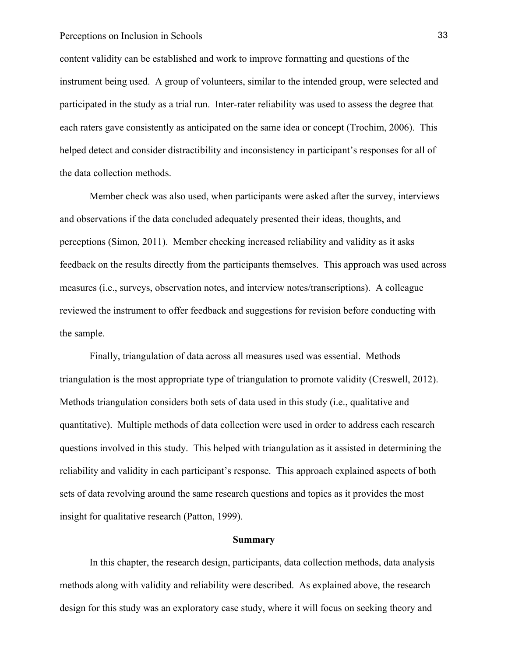content validity can be established and work to improve formatting and questions of the instrument being used. A group of volunteers, similar to the intended group, were selected and participated in the study as a trial run. Inter-rater reliability was used to assess the degree that each raters gave consistently as anticipated on the same idea or concept (Trochim, 2006). This helped detect and consider distractibility and inconsistency in participant's responses for all of the data collection methods.

Member check was also used, when participants were asked after the survey, interviews and observations if the data concluded adequately presented their ideas, thoughts, and perceptions (Simon, 2011). Member checking increased reliability and validity as it asks feedback on the results directly from the participants themselves. This approach was used across measures (i.e., surveys, observation notes, and interview notes/transcriptions). A colleague reviewed the instrument to offer feedback and suggestions for revision before conducting with the sample.

Finally, triangulation of data across all measures used was essential. Methods triangulation is the most appropriate type of triangulation to promote validity (Creswell, 2012). Methods triangulation considers both sets of data used in this study (i.e., qualitative and quantitative). Multiple methods of data collection were used in order to address each research questions involved in this study. This helped with triangulation as it assisted in determining the reliability and validity in each participant's response. This approach explained aspects of both sets of data revolving around the same research questions and topics as it provides the most insight for qualitative research (Patton, 1999).

#### **Summary**

In this chapter, the research design, participants, data collection methods, data analysis methods along with validity and reliability were described. As explained above, the research design for this study was an exploratory case study, where it will focus on seeking theory and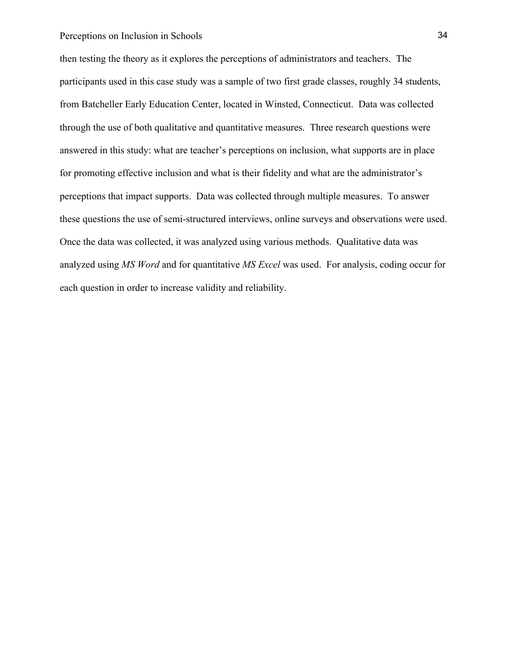then testing the theory as it explores the perceptions of administrators and teachers. The participants used in this case study was a sample of two first grade classes, roughly 34 students, from Batcheller Early Education Center, located in Winsted, Connecticut. Data was collected through the use of both qualitative and quantitative measures. Three research questions were answered in this study: what are teacher's perceptions on inclusion, what supports are in place for promoting effective inclusion and what is their fidelity and what are the administrator's perceptions that impact supports. Data was collected through multiple measures. To answer these questions the use of semi-structured interviews, online surveys and observations were used. Once the data was collected, it was analyzed using various methods. Qualitative data was analyzed using *MS Word* and for quantitative *MS Excel* was used. For analysis, coding occur for each question in order to increase validity and reliability.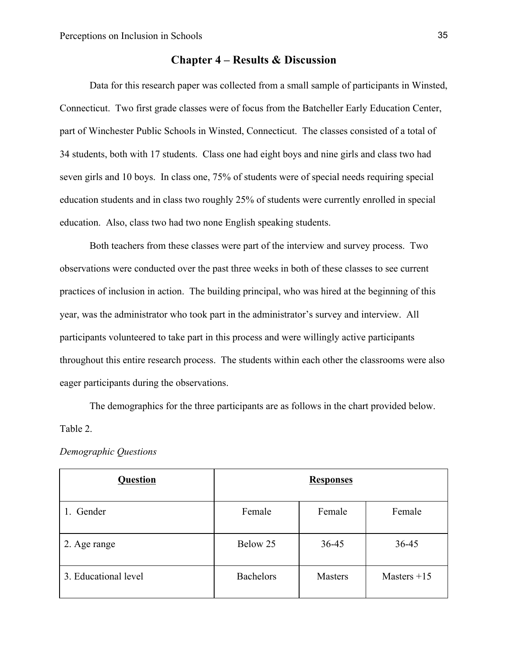## **Chapter 4 – Results & Discussion**

Data for this research paper was collected from a small sample of participants in Winsted, Connecticut. Two first grade classes were of focus from the Batcheller Early Education Center, part of Winchester Public Schools in Winsted, Connecticut. The classes consisted of a total of 34 students, both with 17 students. Class one had eight boys and nine girls and class two had seven girls and 10 boys. In class one, 75% of students were of special needs requiring special education students and in class two roughly 25% of students were currently enrolled in special education. Also, class two had two none English speaking students.

Both teachers from these classes were part of the interview and survey process. Two observations were conducted over the past three weeks in both of these classes to see current practices of inclusion in action. The building principal, who was hired at the beginning of this year, was the administrator who took part in the administrator's survey and interview. All participants volunteered to take part in this process and were willingly active participants throughout this entire research process. The students within each other the classrooms were also eager participants during the observations.

The demographics for the three participants are as follows in the chart provided below. Table 2.

| Question             |                  | <b>Responses</b> |               |
|----------------------|------------------|------------------|---------------|
| 1. Gender            | Female           | Female           | Female        |
| 2. Age range         | Below 25         | 36-45            | 36-45         |
| 3. Educational level | <b>Bachelors</b> | Masters          | Masters $+15$ |

*Demographic Questions*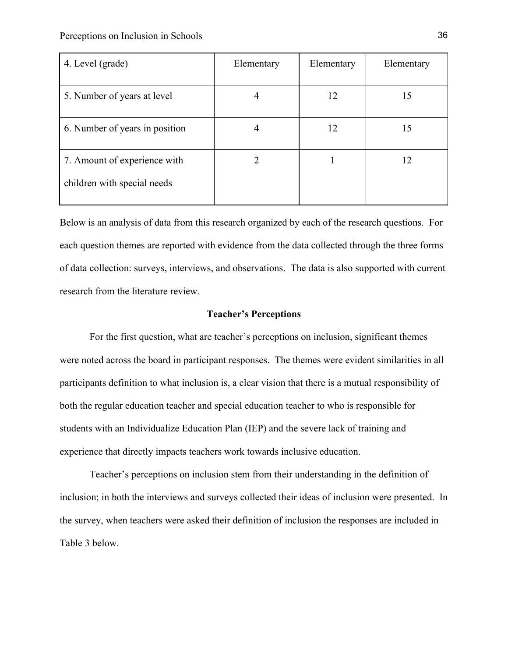| 4. Level (grade)               | Elementary | Elementary | Elementary |
|--------------------------------|------------|------------|------------|
| 5. Number of years at level    | 4          | 12         | 15         |
| 6. Number of years in position |            | 12         | 15         |
| 7. Amount of experience with   |            |            | 12         |
| children with special needs    |            |            |            |

Below is an analysis of data from this research organized by each of the research questions. For each question themes are reported with evidence from the data collected through the three forms of data collection: surveys, interviews, and observations. The data is also supported with current research from the literature review.

#### **Teacher's Perceptions**

For the first question, what are teacher's perceptions on inclusion, significant themes were noted across the board in participant responses. The themes were evident similarities in all participants definition to what inclusion is, a clear vision that there is a mutual responsibility of both the regular education teacher and special education teacher to who is responsible for students with an Individualize Education Plan (IEP) and the severe lack of training and experience that directly impacts teachers work towards inclusive education.

Teacher's perceptions on inclusion stem from their understanding in the definition of inclusion; in both the interviews and surveys collected their ideas of inclusion were presented. In the survey, when teachers were asked their definition of inclusion the responses are included in Table 3 below.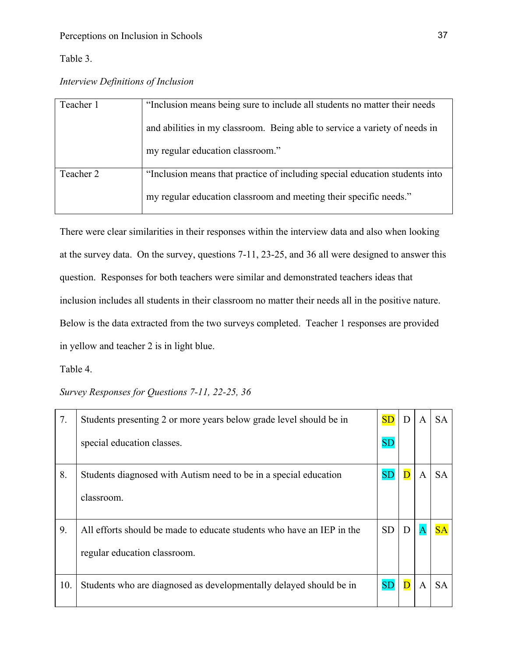Table 3.

*Interview Definitions of Inclusion*

| Teacher 1 | "Inclusion means being sure to include all students no matter their needs   |
|-----------|-----------------------------------------------------------------------------|
|           | and abilities in my classroom. Being able to service a variety of needs in  |
|           | my regular education classroom."                                            |
| Teacher 2 | "Inclusion means that practice of including special education students into |
|           | my regular education classroom and meeting their specific needs."           |

There were clear similarities in their responses within the interview data and also when looking at the survey data. On the survey, questions 7-11, 23-25, and 36 all were designed to answer this question. Responses for both teachers were similar and demonstrated teachers ideas that inclusion includes all students in their classroom no matter their needs all in the positive nature. Below is the data extracted from the two surveys completed. Teacher 1 responses are provided in yellow and teacher 2 is in light blue.

# Table 4.

*Survey Responses for Questions 7-11, 22-25, 36*

| 7.  | Students presenting 2 or more years below grade level should be in    | SD        | D                       | A | <b>SA</b> |
|-----|-----------------------------------------------------------------------|-----------|-------------------------|---|-----------|
|     | special education classes.                                            | SD        |                         |   |           |
| 8.  | Students diagnosed with Autism need to be in a special education      | <b>SD</b> | $\overline{D}$          | A | <b>SA</b> |
|     | classroom.                                                            |           |                         |   |           |
| 9.  | All efforts should be made to educate students who have an IEP in the | <b>SD</b> | D                       |   |           |
|     | regular education classroom.                                          |           |                         |   |           |
| 10. | Students who are diagnosed as developmentally delayed should be in    | <b>SD</b> | $\overline{\mathbf{D}}$ | A | <b>SA</b> |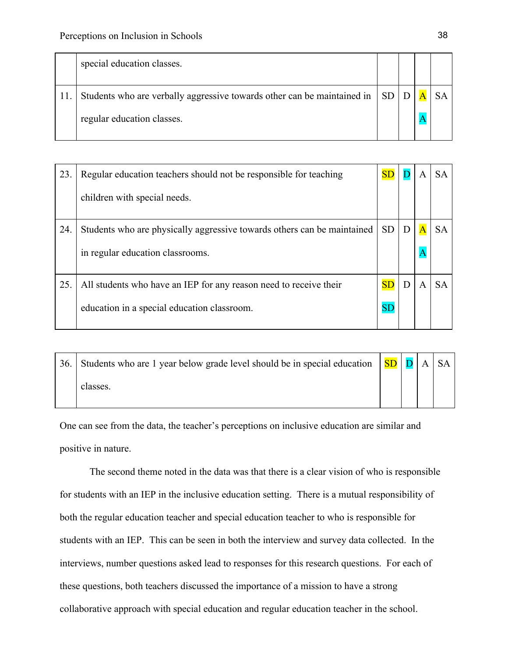|  | special education classes.                                                   |  |  |
|--|------------------------------------------------------------------------------|--|--|
|  | Students who are verbally aggressive towards other can be maintained in   SD |  |  |
|  | regular education classes.                                                   |  |  |

| 23. | Regular education teachers should not be responsible for teaching       |           |   |   | <b>SA</b> |
|-----|-------------------------------------------------------------------------|-----------|---|---|-----------|
|     | children with special needs.                                            |           |   |   |           |
| 24. | Students who are physically aggressive towards others can be maintained | <b>SD</b> | D |   | <b>SA</b> |
|     | in regular education classrooms.                                        |           |   |   |           |
| 25. | All students who have an IEP for any reason need to receive their       | SD        | D | A | <b>SA</b> |
|     | education in a special education classroom.                             | <b>SD</b> |   |   |           |

| 36. | Students who are 1 year below grade level should be in special education $\ \mathbf{SD}\ \mathbf{D}\ \mathbf{A}\ \ \mathbf{SA}\ $ |  |  |
|-----|-----------------------------------------------------------------------------------------------------------------------------------|--|--|
|     | classes.                                                                                                                          |  |  |

One can see from the data, the teacher's perceptions on inclusive education are similar and positive in nature.

The second theme noted in the data was that there is a clear vision of who is responsible for students with an IEP in the inclusive education setting. There is a mutual responsibility of both the regular education teacher and special education teacher to who is responsible for students with an IEP. This can be seen in both the interview and survey data collected. In the interviews, number questions asked lead to responses for this research questions. For each of these questions, both teachers discussed the importance of a mission to have a strong collaborative approach with special education and regular education teacher in the school.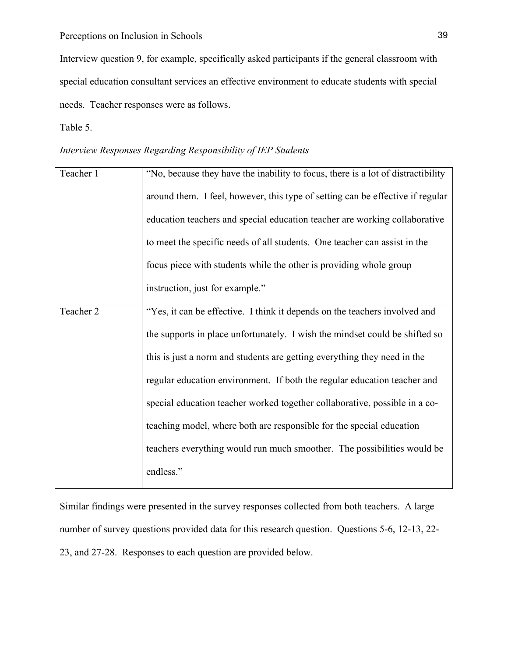Interview question 9, for example, specifically asked participants if the general classroom with special education consultant services an effective environment to educate students with special needs. Teacher responses were as follows.

Table 5.

## *Interview Responses Regarding Responsibility of IEP Students*

| "No, because they have the inability to focus, there is a lot of distractibility |
|----------------------------------------------------------------------------------|
| around them. I feel, however, this type of setting can be effective if regular   |
| education teachers and special education teacher are working collaborative       |
| to meet the specific needs of all students. One teacher can assist in the        |
| focus piece with students while the other is providing whole group               |
| instruction, just for example."                                                  |
| "Yes, it can be effective. I think it depends on the teachers involved and       |
| the supports in place unfortunately. I wish the mindset could be shifted so      |
| this is just a norm and students are getting everything they need in the         |
| regular education environment. If both the regular education teacher and         |
| special education teacher worked together collaborative, possible in a co-       |
| teaching model, where both are responsible for the special education             |
| teachers everything would run much smoother. The possibilities would be          |
| endless."                                                                        |
|                                                                                  |

Similar findings were presented in the survey responses collected from both teachers. A large number of survey questions provided data for this research question. Questions 5-6, 12-13, 22- 23, and 27-28. Responses to each question are provided below.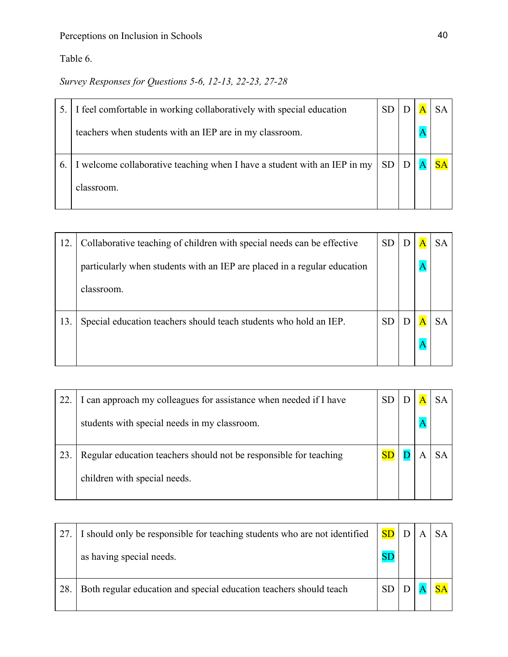Table 6.

*Survey Responses for Questions 5-6, 12-13, 22-23, 27-28*

|    | I feel comfortable in working collaboratively with special education     | <b>SD</b> |  |  |
|----|--------------------------------------------------------------------------|-----------|--|--|
|    | teachers when students with an IEP are in my classroom.                  |           |  |  |
| 6. | I welcome collaborative teaching when I have a student with an IEP in my | SD        |  |  |
|    | classroom.                                                               |           |  |  |

| 12. | Collaborative teaching of children with special needs can be effective   | <b>SD</b> |  |  |
|-----|--------------------------------------------------------------------------|-----------|--|--|
|     | particularly when students with an IEP are placed in a regular education |           |  |  |
|     | classroom.                                                               |           |  |  |
| 13. | Special education teachers should teach students who hold an IEP.        | <b>SD</b> |  |  |
|     |                                                                          |           |  |  |

| 22. | I can approach my colleagues for assistance when needed if I have |  |  |
|-----|-------------------------------------------------------------------|--|--|
|     | students with special needs in my classroom.                      |  |  |
| 23. | Regular education teachers should not be responsible for teaching |  |  |
|     | children with special needs.                                      |  |  |

|    | I should only be responsible for teaching students who are not identified | SD        |  |  |
|----|---------------------------------------------------------------------------|-----------|--|--|
|    | as having special needs.                                                  | <b>SE</b> |  |  |
| 28 | Both regular education and special education teachers should teach        |           |  |  |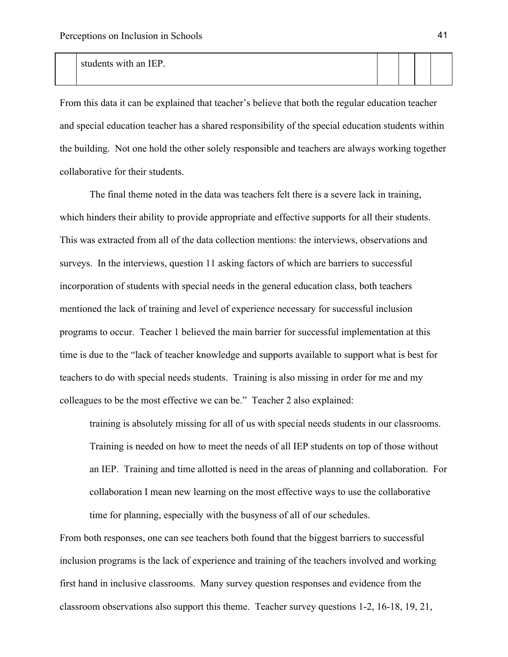#### students with an IEP.

From this data it can be explained that teacher's believe that both the regular education teacher and special education teacher has a shared responsibility of the special education students within the building. Not one hold the other solely responsible and teachers are always working together collaborative for their students.

The final theme noted in the data was teachers felt there is a severe lack in training, which hinders their ability to provide appropriate and effective supports for all their students. This was extracted from all of the data collection mentions: the interviews, observations and surveys. In the interviews, question 11 asking factors of which are barriers to successful incorporation of students with special needs in the general education class, both teachers mentioned the lack of training and level of experience necessary for successful inclusion programs to occur. Teacher 1 believed the main barrier for successful implementation at this time is due to the "lack of teacher knowledge and supports available to support what is best for teachers to do with special needs students. Training is also missing in order for me and my colleagues to be the most effective we can be." Teacher 2 also explained:

training is absolutely missing for all of us with special needs students in our classrooms. Training is needed on how to meet the needs of all IEP students on top of those without an IEP. Training and time allotted is need in the areas of planning and collaboration. For collaboration I mean new learning on the most effective ways to use the collaborative time for planning, especially with the busyness of all of our schedules.

From both responses, one can see teachers both found that the biggest barriers to successful inclusion programs is the lack of experience and training of the teachers involved and working first hand in inclusive classrooms. Many survey question responses and evidence from the classroom observations also support this theme. Teacher survey questions 1-2, 16-18, 19, 21,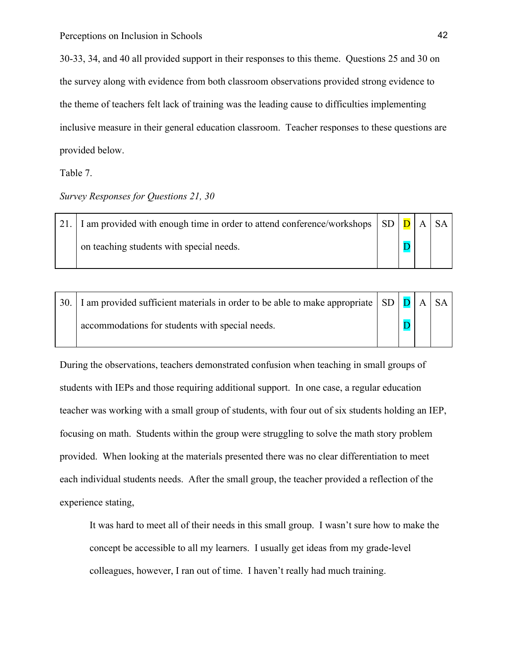30-33, 34, and 40 all provided support in their responses to this theme. Questions 25 and 30 on the survey along with evidence from both classroom observations provided strong evidence to the theme of teachers felt lack of training was the leading cause to difficulties implementing inclusive measure in their general education classroom. Teacher responses to these questions are provided below.

Table 7.

### *Survey Responses for Questions 21, 30*

21. I am provided with enough time in order to attend conference/workshops on teaching students with special needs.  $SD | D$ D A SA

| 30.   I am provided sufficient materials in order to be able to make appropriate $\vert$ SD $\vert$ D $\vert$ A $\vert$ SA $\vert$ |  |  |  |
|------------------------------------------------------------------------------------------------------------------------------------|--|--|--|
| accommodations for students with special needs.                                                                                    |  |  |  |

During the observations, teachers demonstrated confusion when teaching in small groups of students with IEPs and those requiring additional support. In one case, a regular education teacher was working with a small group of students, with four out of six students holding an IEP, focusing on math. Students within the group were struggling to solve the math story problem provided. When looking at the materials presented there was no clear differentiation to meet each individual students needs. After the small group, the teacher provided a reflection of the experience stating,

It was hard to meet all of their needs in this small group. I wasn't sure how to make the concept be accessible to all my learners. I usually get ideas from my grade-level colleagues, however, I ran out of time. I haven't really had much training.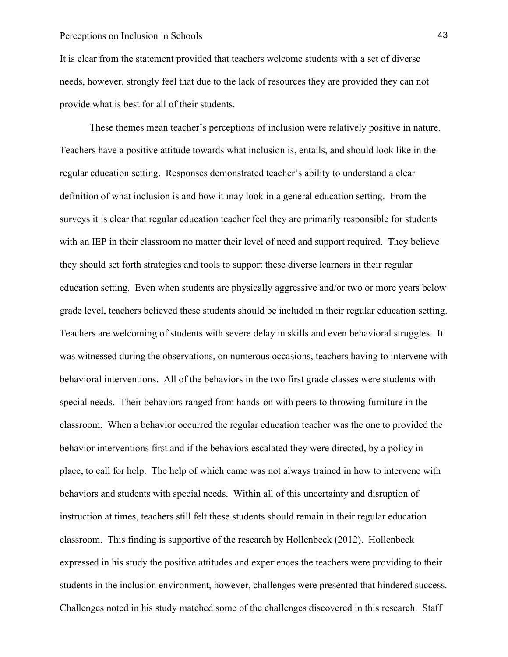It is clear from the statement provided that teachers welcome students with a set of diverse needs, however, strongly feel that due to the lack of resources they are provided they can not provide what is best for all of their students.

These themes mean teacher's perceptions of inclusion were relatively positive in nature. Teachers have a positive attitude towards what inclusion is, entails, and should look like in the regular education setting. Responses demonstrated teacher's ability to understand a clear definition of what inclusion is and how it may look in a general education setting. From the surveys it is clear that regular education teacher feel they are primarily responsible for students with an IEP in their classroom no matter their level of need and support required. They believe they should set forth strategies and tools to support these diverse learners in their regular education setting. Even when students are physically aggressive and/or two or more years below grade level, teachers believed these students should be included in their regular education setting. Teachers are welcoming of students with severe delay in skills and even behavioral struggles. It was witnessed during the observations, on numerous occasions, teachers having to intervene with behavioral interventions. All of the behaviors in the two first grade classes were students with special needs. Their behaviors ranged from hands-on with peers to throwing furniture in the classroom. When a behavior occurred the regular education teacher was the one to provided the behavior interventions first and if the behaviors escalated they were directed, by a policy in place, to call for help. The help of which came was not always trained in how to intervene with behaviors and students with special needs. Within all of this uncertainty and disruption of instruction at times, teachers still felt these students should remain in their regular education classroom. This finding is supportive of the research by Hollenbeck (2012). Hollenbeck expressed in his study the positive attitudes and experiences the teachers were providing to their students in the inclusion environment, however, challenges were presented that hindered success. Challenges noted in his study matched some of the challenges discovered in this research. Staff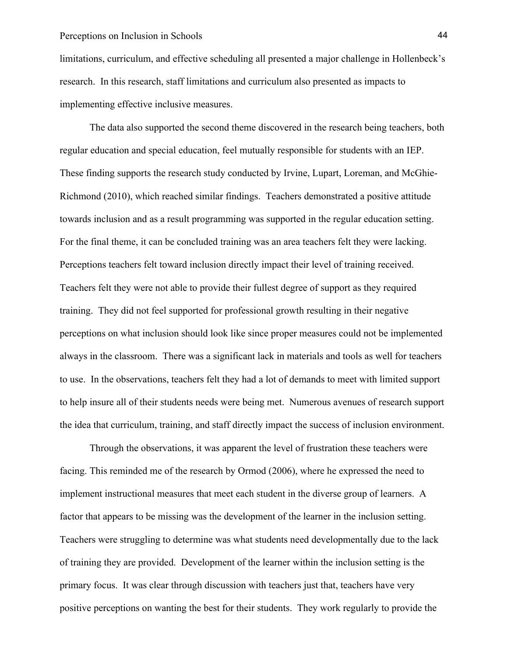limitations, curriculum, and effective scheduling all presented a major challenge in Hollenbeck's research. In this research, staff limitations and curriculum also presented as impacts to implementing effective inclusive measures.

The data also supported the second theme discovered in the research being teachers, both regular education and special education, feel mutually responsible for students with an IEP. These finding supports the research study conducted by Irvine, Lupart, Loreman, and McGhie-Richmond (2010), which reached similar findings. Teachers demonstrated a positive attitude towards inclusion and as a result programming was supported in the regular education setting. For the final theme, it can be concluded training was an area teachers felt they were lacking. Perceptions teachers felt toward inclusion directly impact their level of training received. Teachers felt they were not able to provide their fullest degree of support as they required training. They did not feel supported for professional growth resulting in their negative perceptions on what inclusion should look like since proper measures could not be implemented always in the classroom. There was a significant lack in materials and tools as well for teachers to use. In the observations, teachers felt they had a lot of demands to meet with limited support to help insure all of their students needs were being met. Numerous avenues of research support the idea that curriculum, training, and staff directly impact the success of inclusion environment.

Through the observations, it was apparent the level of frustration these teachers were facing. This reminded me of the research by Ormod (2006), where he expressed the need to implement instructional measures that meet each student in the diverse group of learners. A factor that appears to be missing was the development of the learner in the inclusion setting. Teachers were struggling to determine was what students need developmentally due to the lack of training they are provided. Development of the learner within the inclusion setting is the primary focus. It was clear through discussion with teachers just that, teachers have very positive perceptions on wanting the best for their students. They work regularly to provide the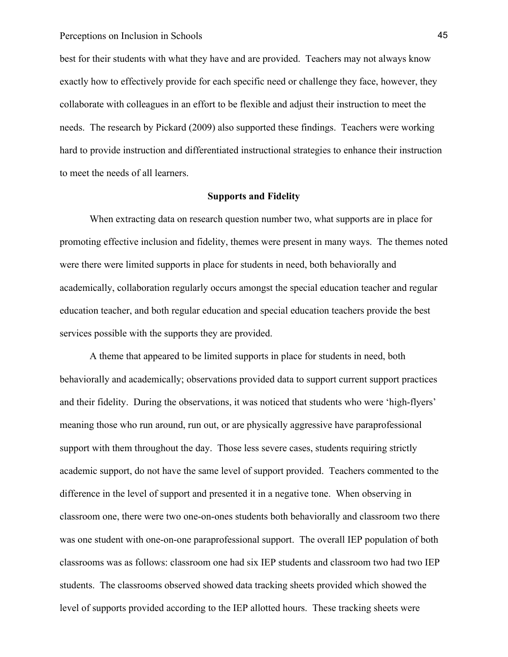best for their students with what they have and are provided. Teachers may not always know exactly how to effectively provide for each specific need or challenge they face, however, they collaborate with colleagues in an effort to be flexible and adjust their instruction to meet the needs. The research by Pickard (2009) also supported these findings. Teachers were working hard to provide instruction and differentiated instructional strategies to enhance their instruction to meet the needs of all learners.

### **Supports and Fidelity**

When extracting data on research question number two, what supports are in place for promoting effective inclusion and fidelity, themes were present in many ways. The themes noted were there were limited supports in place for students in need, both behaviorally and academically, collaboration regularly occurs amongst the special education teacher and regular education teacher, and both regular education and special education teachers provide the best services possible with the supports they are provided.

A theme that appeared to be limited supports in place for students in need, both behaviorally and academically; observations provided data to support current support practices and their fidelity. During the observations, it was noticed that students who were 'high-flyers' meaning those who run around, run out, or are physically aggressive have paraprofessional support with them throughout the day. Those less severe cases, students requiring strictly academic support, do not have the same level of support provided. Teachers commented to the difference in the level of support and presented it in a negative tone. When observing in classroom one, there were two one-on-ones students both behaviorally and classroom two there was one student with one-on-one paraprofessional support. The overall IEP population of both classrooms was as follows: classroom one had six IEP students and classroom two had two IEP students. The classrooms observed showed data tracking sheets provided which showed the level of supports provided according to the IEP allotted hours. These tracking sheets were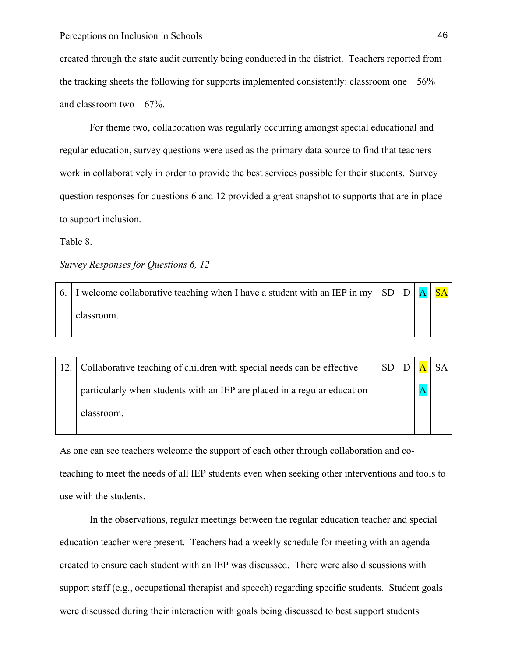created through the state audit currently being conducted in the district. Teachers reported from the tracking sheets the following for supports implemented consistently: classroom one  $-56\%$ and classroom two  $-67%$ .

For theme two, collaboration was regularly occurring amongst special educational and regular education, survey questions were used as the primary data source to find that teachers work in collaboratively in order to provide the best services possible for their students. Survey question responses for questions 6 and 12 provided a great snapshot to supports that are in place to support inclusion.

#### Table 8.

*Survey Responses for Questions 6, 12*

| 6. I welcome collaborative teaching when I have a student with an IEP in my $ SD D A SA$ |  |  |
|------------------------------------------------------------------------------------------|--|--|
| classroom.                                                                               |  |  |

| Collaborative teaching of children with special needs can be effective   | SD   D |  | $A$ SA |
|--------------------------------------------------------------------------|--------|--|--------|
| particularly when students with an IEP are placed in a regular education |        |  |        |
| classroom.                                                               |        |  |        |

As one can see teachers welcome the support of each other through collaboration and coteaching to meet the needs of all IEP students even when seeking other interventions and tools to use with the students.

In the observations, regular meetings between the regular education teacher and special education teacher were present. Teachers had a weekly schedule for meeting with an agenda created to ensure each student with an IEP was discussed. There were also discussions with support staff (e.g., occupational therapist and speech) regarding specific students. Student goals were discussed during their interaction with goals being discussed to best support students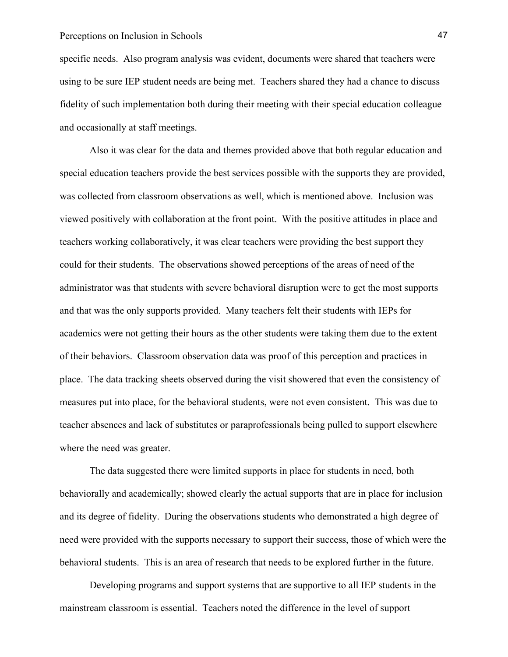specific needs. Also program analysis was evident, documents were shared that teachers were using to be sure IEP student needs are being met. Teachers shared they had a chance to discuss fidelity of such implementation both during their meeting with their special education colleague and occasionally at staff meetings.

Also it was clear for the data and themes provided above that both regular education and special education teachers provide the best services possible with the supports they are provided, was collected from classroom observations as well, which is mentioned above. Inclusion was viewed positively with collaboration at the front point. With the positive attitudes in place and teachers working collaboratively, it was clear teachers were providing the best support they could for their students. The observations showed perceptions of the areas of need of the administrator was that students with severe behavioral disruption were to get the most supports and that was the only supports provided. Many teachers felt their students with IEPs for academics were not getting their hours as the other students were taking them due to the extent of their behaviors. Classroom observation data was proof of this perception and practices in place. The data tracking sheets observed during the visit showered that even the consistency of measures put into place, for the behavioral students, were not even consistent. This was due to teacher absences and lack of substitutes or paraprofessionals being pulled to support elsewhere where the need was greater.

The data suggested there were limited supports in place for students in need, both behaviorally and academically; showed clearly the actual supports that are in place for inclusion and its degree of fidelity. During the observations students who demonstrated a high degree of need were provided with the supports necessary to support their success, those of which were the behavioral students. This is an area of research that needs to be explored further in the future.

Developing programs and support systems that are supportive to all IEP students in the mainstream classroom is essential. Teachers noted the difference in the level of support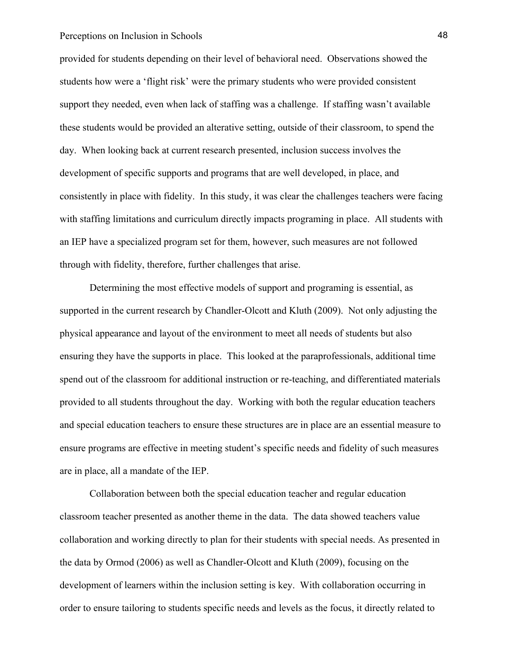provided for students depending on their level of behavioral need. Observations showed the students how were a 'flight risk' were the primary students who were provided consistent support they needed, even when lack of staffing was a challenge. If staffing wasn't available these students would be provided an alterative setting, outside of their classroom, to spend the day. When looking back at current research presented, inclusion success involves the development of specific supports and programs that are well developed, in place, and consistently in place with fidelity. In this study, it was clear the challenges teachers were facing with staffing limitations and curriculum directly impacts programing in place. All students with an IEP have a specialized program set for them, however, such measures are not followed through with fidelity, therefore, further challenges that arise.

Determining the most effective models of support and programing is essential, as supported in the current research by Chandler-Olcott and Kluth (2009). Not only adjusting the physical appearance and layout of the environment to meet all needs of students but also ensuring they have the supports in place. This looked at the paraprofessionals, additional time spend out of the classroom for additional instruction or re-teaching, and differentiated materials provided to all students throughout the day. Working with both the regular education teachers and special education teachers to ensure these structures are in place are an essential measure to ensure programs are effective in meeting student's specific needs and fidelity of such measures are in place, all a mandate of the IEP.

Collaboration between both the special education teacher and regular education classroom teacher presented as another theme in the data. The data showed teachers value collaboration and working directly to plan for their students with special needs. As presented in the data by Ormod (2006) as well as Chandler-Olcott and Kluth (2009), focusing on the development of learners within the inclusion setting is key. With collaboration occurring in order to ensure tailoring to students specific needs and levels as the focus, it directly related to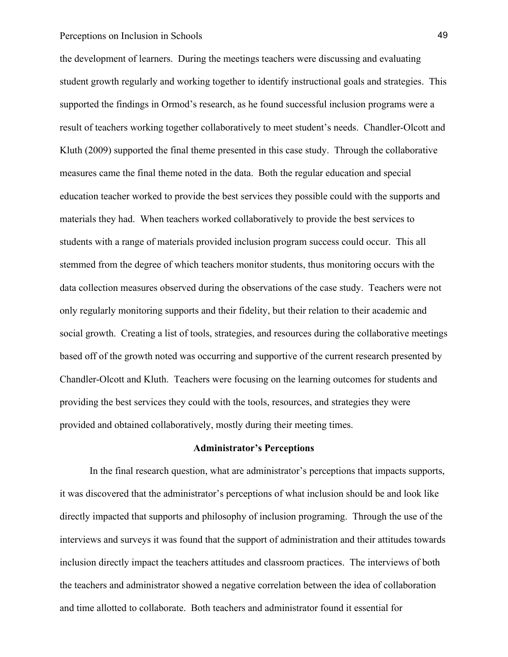the development of learners. During the meetings teachers were discussing and evaluating student growth regularly and working together to identify instructional goals and strategies. This supported the findings in Ormod's research, as he found successful inclusion programs were a result of teachers working together collaboratively to meet student's needs. Chandler-Olcott and Kluth (2009) supported the final theme presented in this case study. Through the collaborative measures came the final theme noted in the data. Both the regular education and special education teacher worked to provide the best services they possible could with the supports and materials they had. When teachers worked collaboratively to provide the best services to students with a range of materials provided inclusion program success could occur. This all stemmed from the degree of which teachers monitor students, thus monitoring occurs with the data collection measures observed during the observations of the case study. Teachers were not only regularly monitoring supports and their fidelity, but their relation to their academic and social growth. Creating a list of tools, strategies, and resources during the collaborative meetings based off of the growth noted was occurring and supportive of the current research presented by Chandler-Olcott and Kluth. Teachers were focusing on the learning outcomes for students and providing the best services they could with the tools, resources, and strategies they were provided and obtained collaboratively, mostly during their meeting times.

#### **Administrator's Perceptions**

In the final research question, what are administrator's perceptions that impacts supports, it was discovered that the administrator's perceptions of what inclusion should be and look like directly impacted that supports and philosophy of inclusion programing. Through the use of the interviews and surveys it was found that the support of administration and their attitudes towards inclusion directly impact the teachers attitudes and classroom practices. The interviews of both the teachers and administrator showed a negative correlation between the idea of collaboration and time allotted to collaborate. Both teachers and administrator found it essential for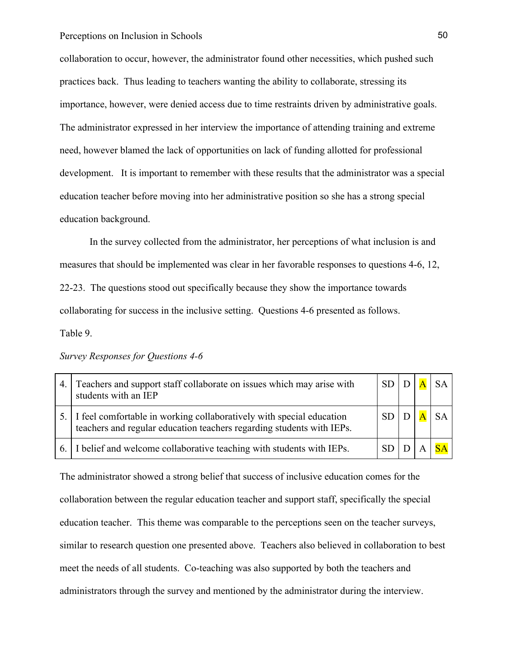collaboration to occur, however, the administrator found other necessities, which pushed such practices back. Thus leading to teachers wanting the ability to collaborate, stressing its importance, however, were denied access due to time restraints driven by administrative goals. The administrator expressed in her interview the importance of attending training and extreme need, however blamed the lack of opportunities on lack of funding allotted for professional development. It is important to remember with these results that the administrator was a special education teacher before moving into her administrative position so she has a strong special education background.

In the survey collected from the administrator, her perceptions of what inclusion is and measures that should be implemented was clear in her favorable responses to questions 4-6, 12, 22-23. The questions stood out specifically because they show the importance towards collaborating for success in the inclusive setting. Questions 4-6 presented as follows. Table 9.

*Survey Responses for Questions 4-6*

| 4. | Teachers and support staff collaborate on issues which may arise with<br>students with an IEP                                                    | <b>SD</b> |  | $S_{A}$ |
|----|--------------------------------------------------------------------------------------------------------------------------------------------------|-----------|--|---------|
|    | 5. I feel comfortable in working collaboratively with special education<br>teachers and regular education teachers regarding students with IEPs. | <b>SD</b> |  |         |
|    | 6. I belief and welcome collaborative teaching with students with IEPs.                                                                          | <b>SD</b> |  |         |

The administrator showed a strong belief that success of inclusive education comes for the collaboration between the regular education teacher and support staff, specifically the special education teacher. This theme was comparable to the perceptions seen on the teacher surveys, similar to research question one presented above. Teachers also believed in collaboration to best meet the needs of all students. Co-teaching was also supported by both the teachers and administrators through the survey and mentioned by the administrator during the interview.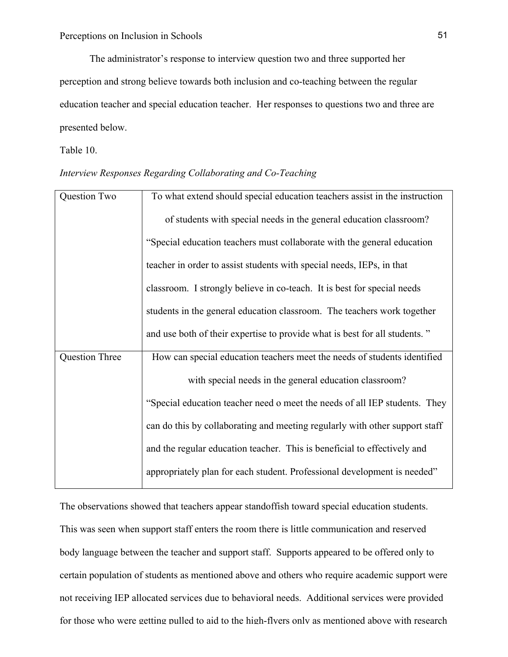The administrator's response to interview question two and three supported her perception and strong believe towards both inclusion and co-teaching between the regular education teacher and special education teacher. Her responses to questions two and three are presented below.

Table 10.

## *Interview Responses Regarding Collaborating and Co-Teaching*

| Question Two          | To what extend should special education teachers assist in the instruction  |
|-----------------------|-----------------------------------------------------------------------------|
|                       | of students with special needs in the general education classroom?          |
|                       | "Special education teachers must collaborate with the general education     |
|                       | teacher in order to assist students with special needs, IEPs, in that       |
|                       | classroom. I strongly believe in co-teach. It is best for special needs     |
|                       | students in the general education classroom. The teachers work together     |
|                       | and use both of their expertise to provide what is best for all students."  |
| <b>Question Three</b> | How can special education teachers meet the needs of students identified    |
|                       | with special needs in the general education classroom?                      |
|                       | "Special education teacher need o meet the needs of all IEP students. They  |
|                       | can do this by collaborating and meeting regularly with other support staff |
|                       | and the regular education teacher. This is beneficial to effectively and    |
|                       | appropriately plan for each student. Professional development is needed"    |

The observations showed that teachers appear standoffish toward special education students. This was seen when support staff enters the room there is little communication and reserved body language between the teacher and support staff. Supports appeared to be offered only to certain population of students as mentioned above and others who require academic support were not receiving IEP allocated services due to behavioral needs. Additional services were provided for those who were getting pulled to aid to the high-flyers only as mentioned above with research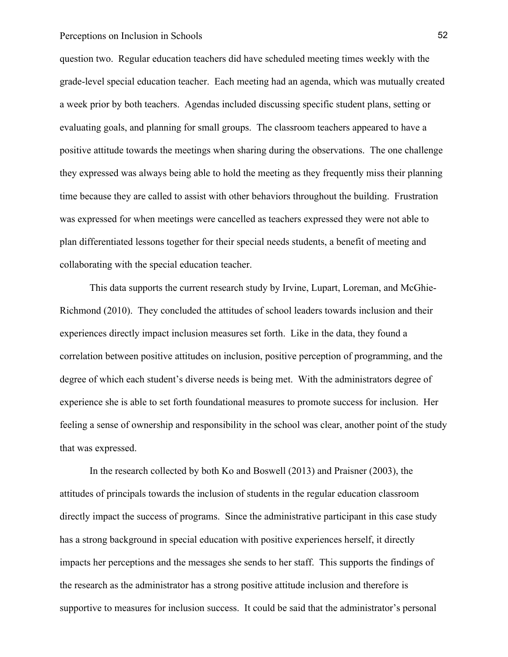question two. Regular education teachers did have scheduled meeting times weekly with the grade-level special education teacher. Each meeting had an agenda, which was mutually created a week prior by both teachers. Agendas included discussing specific student plans, setting or evaluating goals, and planning for small groups. The classroom teachers appeared to have a positive attitude towards the meetings when sharing during the observations. The one challenge they expressed was always being able to hold the meeting as they frequently miss their planning time because they are called to assist with other behaviors throughout the building. Frustration was expressed for when meetings were cancelled as teachers expressed they were not able to plan differentiated lessons together for their special needs students, a benefit of meeting and collaborating with the special education teacher.

This data supports the current research study by Irvine, Lupart, Loreman, and McGhie-Richmond (2010). They concluded the attitudes of school leaders towards inclusion and their experiences directly impact inclusion measures set forth. Like in the data, they found a correlation between positive attitudes on inclusion, positive perception of programming, and the degree of which each student's diverse needs is being met. With the administrators degree of experience she is able to set forth foundational measures to promote success for inclusion. Her feeling a sense of ownership and responsibility in the school was clear, another point of the study that was expressed.

In the research collected by both Ko and Boswell (2013) and Praisner (2003), the attitudes of principals towards the inclusion of students in the regular education classroom directly impact the success of programs. Since the administrative participant in this case study has a strong background in special education with positive experiences herself, it directly impacts her perceptions and the messages she sends to her staff. This supports the findings of the research as the administrator has a strong positive attitude inclusion and therefore is supportive to measures for inclusion success. It could be said that the administrator's personal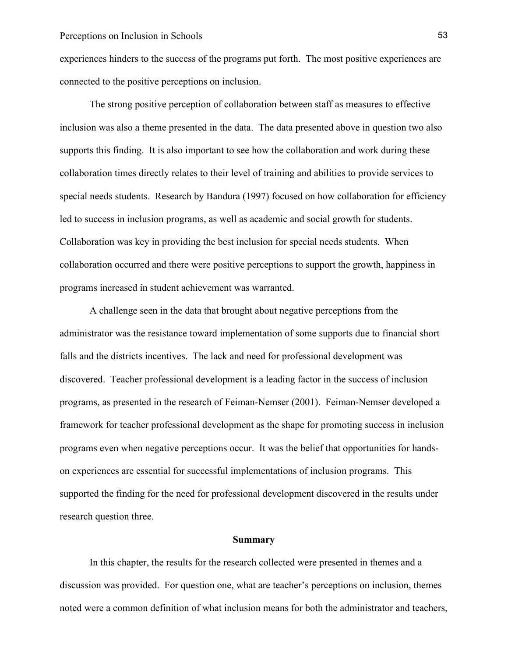experiences hinders to the success of the programs put forth. The most positive experiences are connected to the positive perceptions on inclusion.

The strong positive perception of collaboration between staff as measures to effective inclusion was also a theme presented in the data. The data presented above in question two also supports this finding. It is also important to see how the collaboration and work during these collaboration times directly relates to their level of training and abilities to provide services to special needs students. Research by Bandura (1997) focused on how collaboration for efficiency led to success in inclusion programs, as well as academic and social growth for students. Collaboration was key in providing the best inclusion for special needs students. When collaboration occurred and there were positive perceptions to support the growth, happiness in programs increased in student achievement was warranted.

A challenge seen in the data that brought about negative perceptions from the administrator was the resistance toward implementation of some supports due to financial short falls and the districts incentives. The lack and need for professional development was discovered. Teacher professional development is a leading factor in the success of inclusion programs, as presented in the research of Feiman-Nemser (2001). Feiman-Nemser developed a framework for teacher professional development as the shape for promoting success in inclusion programs even when negative perceptions occur. It was the belief that opportunities for handson experiences are essential for successful implementations of inclusion programs. This supported the finding for the need for professional development discovered in the results under research question three.

#### **Summary**

In this chapter, the results for the research collected were presented in themes and a discussion was provided. For question one, what are teacher's perceptions on inclusion, themes noted were a common definition of what inclusion means for both the administrator and teachers,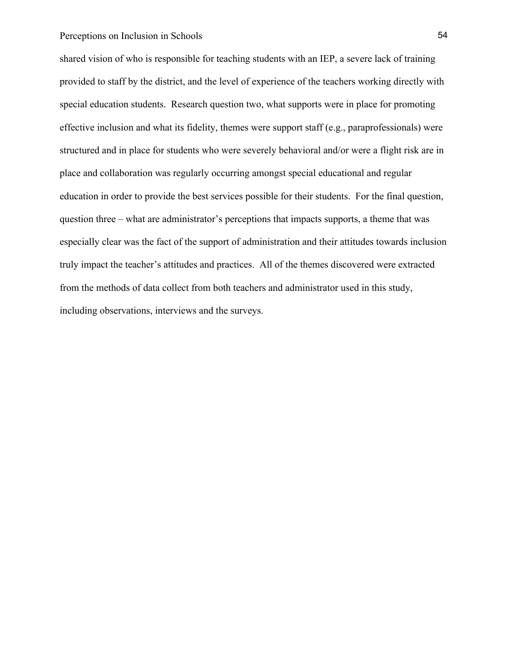shared vision of who is responsible for teaching students with an IEP, a severe lack of training provided to staff by the district, and the level of experience of the teachers working directly with special education students. Research question two, what supports were in place for promoting effective inclusion and what its fidelity, themes were support staff (e.g., paraprofessionals) were structured and in place for students who were severely behavioral and/or were a flight risk are in place and collaboration was regularly occurring amongst special educational and regular education in order to provide the best services possible for their students. For the final question, question three – what are administrator's perceptions that impacts supports, a theme that was especially clear was the fact of the support of administration and their attitudes towards inclusion truly impact the teacher's attitudes and practices. All of the themes discovered were extracted from the methods of data collect from both teachers and administrator used in this study, including observations, interviews and the surveys.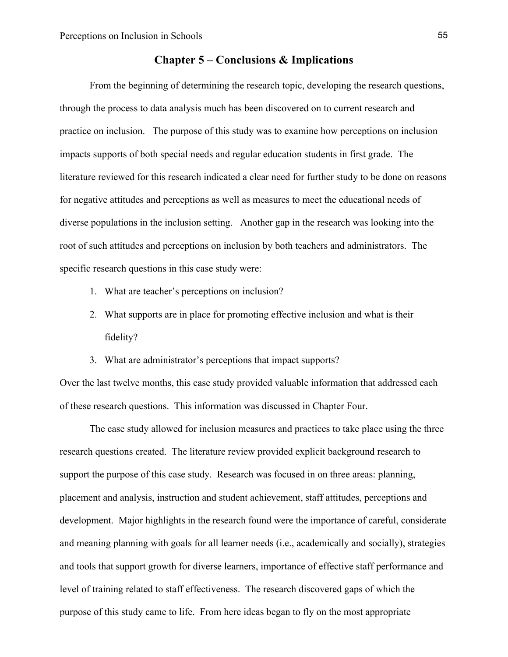## **Chapter 5 – Conclusions & Implications**

From the beginning of determining the research topic, developing the research questions, through the process to data analysis much has been discovered on to current research and practice on inclusion. The purpose of this study was to examine how perceptions on inclusion impacts supports of both special needs and regular education students in first grade. The literature reviewed for this research indicated a clear need for further study to be done on reasons for negative attitudes and perceptions as well as measures to meet the educational needs of diverse populations in the inclusion setting. Another gap in the research was looking into the root of such attitudes and perceptions on inclusion by both teachers and administrators. The specific research questions in this case study were:

- 1. What are teacher's perceptions on inclusion?
- 2. What supports are in place for promoting effective inclusion and what is their fidelity?
- 3. What are administrator's perceptions that impact supports?

Over the last twelve months, this case study provided valuable information that addressed each of these research questions. This information was discussed in Chapter Four.

The case study allowed for inclusion measures and practices to take place using the three research questions created. The literature review provided explicit background research to support the purpose of this case study. Research was focused in on three areas: planning, placement and analysis, instruction and student achievement, staff attitudes, perceptions and development. Major highlights in the research found were the importance of careful, considerate and meaning planning with goals for all learner needs (i.e., academically and socially), strategies and tools that support growth for diverse learners, importance of effective staff performance and level of training related to staff effectiveness. The research discovered gaps of which the purpose of this study came to life. From here ideas began to fly on the most appropriate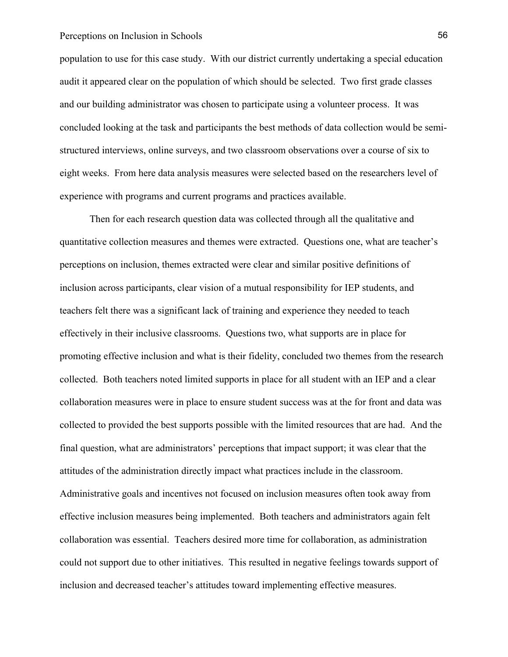population to use for this case study. With our district currently undertaking a special education audit it appeared clear on the population of which should be selected. Two first grade classes and our building administrator was chosen to participate using a volunteer process. It was concluded looking at the task and participants the best methods of data collection would be semistructured interviews, online surveys, and two classroom observations over a course of six to eight weeks. From here data analysis measures were selected based on the researchers level of experience with programs and current programs and practices available.

Then for each research question data was collected through all the qualitative and quantitative collection measures and themes were extracted. Questions one, what are teacher's perceptions on inclusion, themes extracted were clear and similar positive definitions of inclusion across participants, clear vision of a mutual responsibility for IEP students, and teachers felt there was a significant lack of training and experience they needed to teach effectively in their inclusive classrooms. Questions two, what supports are in place for promoting effective inclusion and what is their fidelity, concluded two themes from the research collected. Both teachers noted limited supports in place for all student with an IEP and a clear collaboration measures were in place to ensure student success was at the for front and data was collected to provided the best supports possible with the limited resources that are had. And the final question, what are administrators' perceptions that impact support; it was clear that the attitudes of the administration directly impact what practices include in the classroom. Administrative goals and incentives not focused on inclusion measures often took away from effective inclusion measures being implemented. Both teachers and administrators again felt collaboration was essential. Teachers desired more time for collaboration, as administration could not support due to other initiatives. This resulted in negative feelings towards support of inclusion and decreased teacher's attitudes toward implementing effective measures.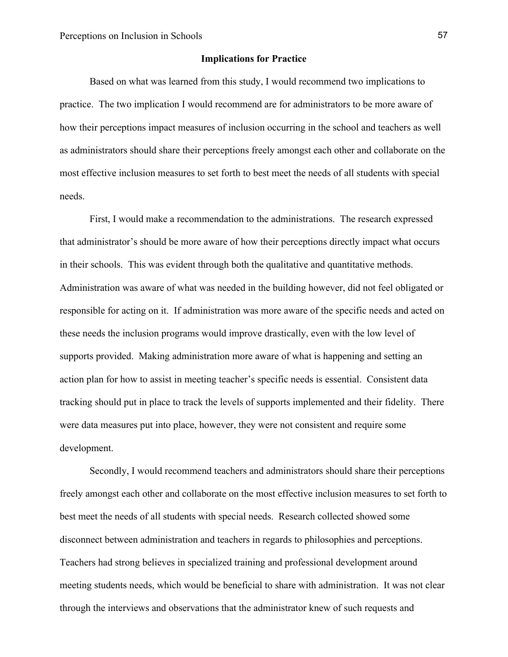#### **Implications for Practice**

Based on what was learned from this study, I would recommend two implications to practice. The two implication I would recommend are for administrators to be more aware of how their perceptions impact measures of inclusion occurring in the school and teachers as well as administrators should share their perceptions freely amongst each other and collaborate on the most effective inclusion measures to set forth to best meet the needs of all students with special needs.

First, I would make a recommendation to the administrations. The research expressed that administrator's should be more aware of how their perceptions directly impact what occurs in their schools. This was evident through both the qualitative and quantitative methods. Administration was aware of what was needed in the building however, did not feel obligated or responsible for acting on it. If administration was more aware of the specific needs and acted on these needs the inclusion programs would improve drastically, even with the low level of supports provided. Making administration more aware of what is happening and setting an action plan for how to assist in meeting teacher's specific needs is essential. Consistent data tracking should put in place to track the levels of supports implemented and their fidelity. There were data measures put into place, however, they were not consistent and require some development.

Secondly, I would recommend teachers and administrators should share their perceptions freely amongst each other and collaborate on the most effective inclusion measures to set forth to best meet the needs of all students with special needs. Research collected showed some disconnect between administration and teachers in regards to philosophies and perceptions. Teachers had strong believes in specialized training and professional development around meeting students needs, which would be beneficial to share with administration. It was not clear through the interviews and observations that the administrator knew of such requests and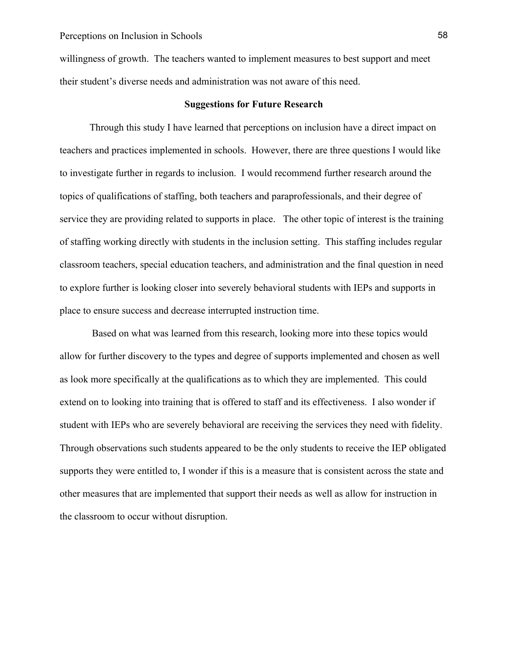willingness of growth. The teachers wanted to implement measures to best support and meet their student's diverse needs and administration was not aware of this need.

#### **Suggestions for Future Research**

Through this study I have learned that perceptions on inclusion have a direct impact on teachers and practices implemented in schools. However, there are three questions I would like to investigate further in regards to inclusion. I would recommend further research around the topics of qualifications of staffing, both teachers and paraprofessionals, and their degree of service they are providing related to supports in place. The other topic of interest is the training of staffing working directly with students in the inclusion setting. This staffing includes regular classroom teachers, special education teachers, and administration and the final question in need to explore further is looking closer into severely behavioral students with IEPs and supports in place to ensure success and decrease interrupted instruction time.

Based on what was learned from this research, looking more into these topics would allow for further discovery to the types and degree of supports implemented and chosen as well as look more specifically at the qualifications as to which they are implemented. This could extend on to looking into training that is offered to staff and its effectiveness. I also wonder if student with IEPs who are severely behavioral are receiving the services they need with fidelity. Through observations such students appeared to be the only students to receive the IEP obligated supports they were entitled to, I wonder if this is a measure that is consistent across the state and other measures that are implemented that support their needs as well as allow for instruction in the classroom to occur without disruption.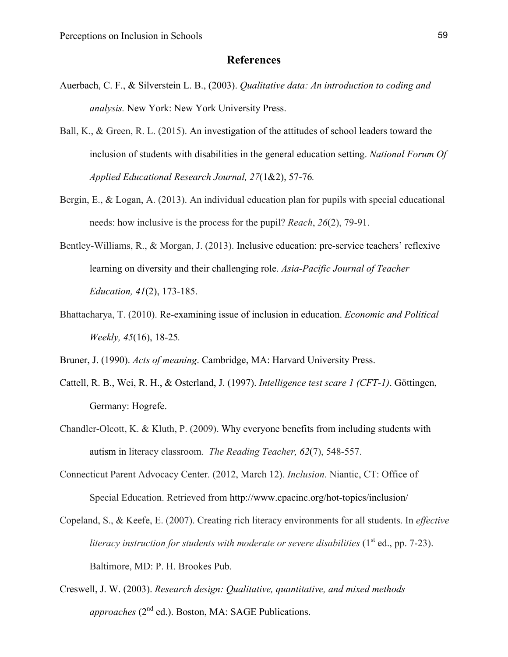## **References**

- Auerbach, C. F., & Silverstein L. B., (2003). *Qualitative data: An introduction to coding and analysis.* New York: New York University Press.
- Ball, K., & Green, R. L. (2015). An investigation of the attitudes of school leaders toward the inclusion of students with disabilities in the general education setting. *National Forum Of Applied Educational Research Journal, 27*(1&2), 57-76*.*
- Bergin, E., & Logan, A. (2013). An individual education plan for pupils with special educational needs: how inclusive is the process for the pupil? *Reach*, *26*(2), 79-91.
- Bentley-Williams, R., & Morgan, J. (2013). Inclusive education: pre-service teachers' reflexive learning on diversity and their challenging role. *Asia-Pacific Journal of Teacher Education, 41*(2), 173-185.
- Bhattacharya, T. (2010). Re-examining issue of inclusion in education. *Economic and Political Weekly, 45*(16), 18-25*.*

Bruner, J. (1990). *Acts of meaning*. Cambridge, MA: Harvard University Press.

- Cattell, R. B., Wei, R. H., & Osterland, J. (1997). *Intelligence test scare 1 (CFT-1)*. Göttingen, Germany: Hogrefe.
- Chandler-Olcott, K. & Kluth, P. (2009). Why everyone benefits from including students with autism in literacy classroom. *The Reading Teacher, 62*(7), 548-557.
- Connecticut Parent Advocacy Center. (2012, March 12). *Inclusion*. Niantic, CT: Office of Special Education. Retrieved from http://www.cpacinc.org/hot-topics/inclusion/
- Copeland, S., & Keefe, E. (2007). Creating rich literacy environments for all students. In *effective literacy instruction for students with moderate or severe disabilities*  $(1<sup>st</sup>$  ed., pp. 7-23). Baltimore, MD: P. H. Brookes Pub.
- Creswell, J. W. (2003). *Research design: Qualitative, quantitative, and mixed methods approaches* (2<sup>nd</sup> ed.). Boston, MA: SAGE Publications.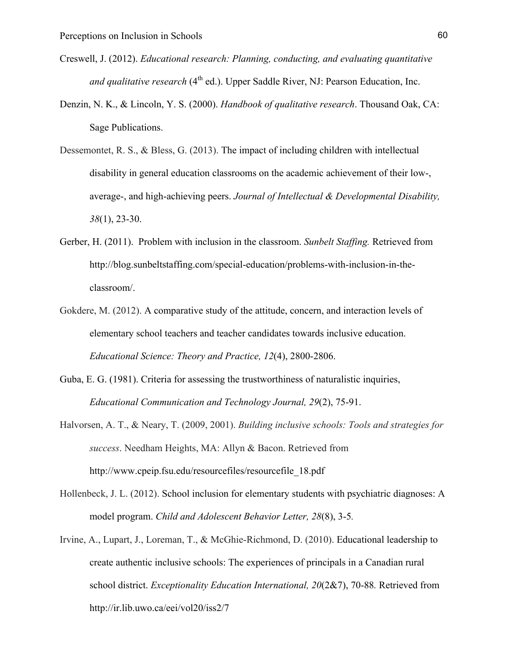- Creswell, J. (2012). *Educational research: Planning, conducting, and evaluating quantitative and qualitative research* (4<sup>th</sup> ed.). Upper Saddle River, NJ: Pearson Education, Inc.
- Denzin, N. K., & Lincoln, Y. S. (2000). *Handbook of qualitative research*. Thousand Oak, CA: Sage Publications.
- Dessemontet, R. S., & Bless, G. (2013). The impact of including children with intellectual disability in general education classrooms on the academic achievement of their low-, average-, and high-achieving peers. *Journal of Intellectual & Developmental Disability, 38*(1), 23-30.
- Gerber, H. (2011). Problem with inclusion in the classroom. *Sunbelt Staffing.* Retrieved from http://blog.sunbeltstaffing.com/special-education/problems-with-inclusion-in-theclassroom/.
- Gokdere, M. (2012). A comparative study of the attitude, concern, and interaction levels of elementary school teachers and teacher candidates towards inclusive education. *Educational Science: Theory and Practice, 12*(4), 2800-2806.
- Guba, E. G. (1981). Criteria for assessing the trustworthiness of naturalistic inquiries, *Educational Communication and Technology Journal, 29*(2), 75-91.
- Halvorsen, A. T., & Neary, T. (2009, 2001). *Building inclusive schools: Tools and strategies for success*. Needham Heights, MA: Allyn & Bacon. Retrieved from http://www.cpeip.fsu.edu/resourcefiles/resourcefile\_18.pdf
- Hollenbeck, J. L. (2012). School inclusion for elementary students with psychiatric diagnoses: A model program. *Child and Adolescent Behavior Letter, 28*(8), 3-5*.*
- Irvine, A., Lupart, J., Loreman, T., & McGhie-Richmond, D. (2010). Educational leadership to create authentic inclusive schools: The experiences of principals in a Canadian rural school district. *Exceptionality Education International, 20*(2&7), 70-88*.* Retrieved from http://ir.lib.uwo.ca/eei/vol20/iss2/7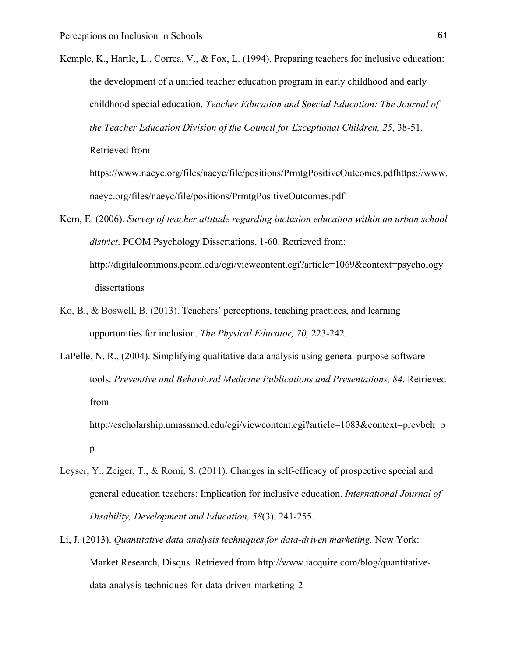- Kemple, K., Hartle, L., Correa, V., & Fox, L. (1994). Preparing teachers for inclusive education: the development of a unified teacher education program in early childhood and early childhood special education. *Teacher Education and Special Education: The Journal of the Teacher Education Division of the Council for Exceptional Children, 25*, 38-51. Retrieved from https://www.naeyc.org/files/naeyc/file/positions/PrmtgPositiveOutcomes.pdfhttps://www. naeyc.org/files/naeyc/file/positions/PrmtgPositiveOutcomes.pdf
- Kern, E. (2006). *Survey of teacher attitude regarding inclusion education within an urban school district*. PCOM Psychology Dissertations, 1-60. Retrieved from: http://digitalcommons.pcom.edu/cgi/viewcontent.cgi?article=1069&context=psychology dissertations
- Ko, B., & Boswell, B. (2013). Teachers' perceptions, teaching practices, and learning opportunities for inclusion. *The Physical Educator, 70,* 223-242*.*
- LaPelle, N. R., (2004). Simplifying qualitative data analysis using general purpose software tools. *Preventive and Behavioral Medicine Publications and Presentations, 84*. Retrieved from

http://escholarship.umassmed.edu/cgi/viewcontent.cgi?article=1083&context=prevbeh\_p p

- Leyser, Y., Zeiger, T., & Romi, S. (2011). Changes in self-efficacy of prospective special and general education teachers: Implication for inclusive education. *International Journal of Disability, Development and Education, 58*(3), 241-255.
- Li, J. (2013). *Quantitative data analysis techniques for data-driven marketing.* New York: Market Research, Disqus. Retrieved from http://www.iacquire.com/blog/quantitativedata-analysis-techniques-for-data-driven-marketing-2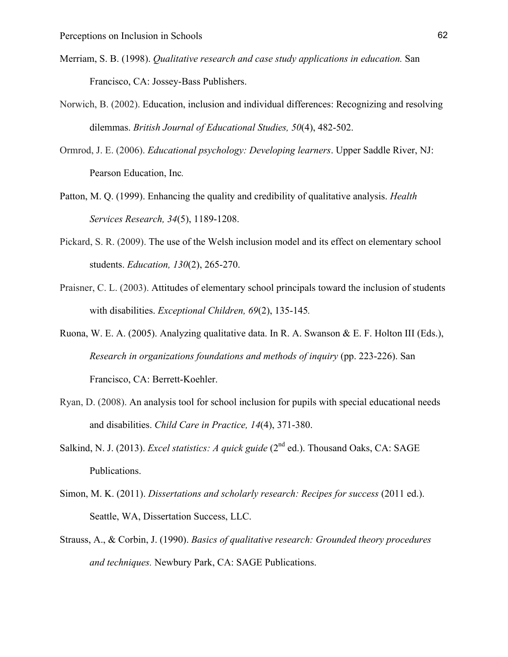- Merriam, S. B. (1998). *Qualitative research and case study applications in education.* San Francisco, CA: Jossey-Bass Publishers.
- Norwich, B. (2002). Education, inclusion and individual differences: Recognizing and resolving dilemmas. *British Journal of Educational Studies, 50*(4), 482-502.
- Ormrod, J. E. (2006). *Educational psychology: Developing learners*. Upper Saddle River, NJ: Pearson Education, Inc*.*
- Patton, M. Q. (1999). Enhancing the quality and credibility of qualitative analysis. *Health Services Research, 34*(5), 1189-1208.
- Pickard, S. R. (2009). The use of the Welsh inclusion model and its effect on elementary school students. *Education, 130*(2), 265-270.
- Praisner, C. L. (2003). Attitudes of elementary school principals toward the inclusion of students with disabilities. *Exceptional Children, 69*(2), 135-145*.*
- Ruona, W. E. A. (2005). Analyzing qualitative data. In R. A. Swanson & E. F. Holton III (Eds.), *Research in organizations foundations and methods of inquiry* (pp. 223-226). San Francisco, CA: Berrett-Koehler.
- Ryan, D. (2008). An analysis tool for school inclusion for pupils with special educational needs and disabilities. *Child Care in Practice, 14*(4), 371-380.
- Salkind, N. J. (2013). *Excel statistics: A quick guide* (2<sup>nd</sup> ed.). Thousand Oaks, CA: SAGE Publications.
- Simon, M. K. (2011). *Dissertations and scholarly research: Recipes for success* (2011 ed.). Seattle, WA, Dissertation Success, LLC.
- Strauss, A., & Corbin, J. (1990). *Basics of qualitative research: Grounded theory procedures and techniques.* Newbury Park, CA: SAGE Publications.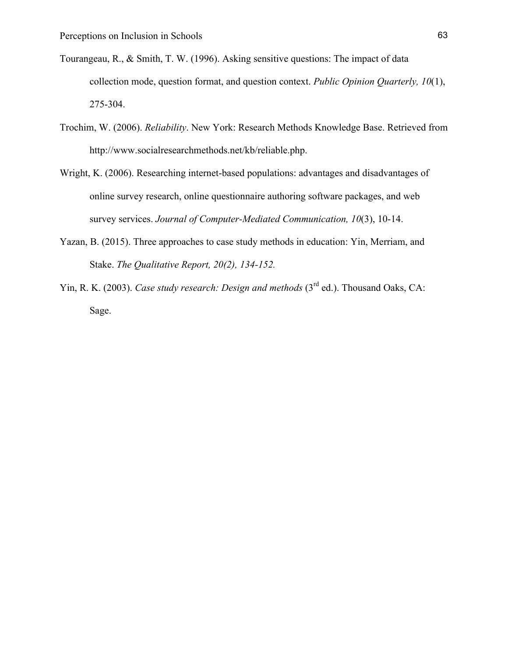- Tourangeau, R., & Smith, T. W. (1996). Asking sensitive questions: The impact of data collection mode, question format, and question context. *Public Opinion Quarterly, 10*(1), 275-304.
- Trochim, W. (2006). *Reliability*. New York: Research Methods Knowledge Base. Retrieved from http://www.socialresearchmethods.net/kb/reliable.php.
- Wright, K. (2006). Researching internet-based populations: advantages and disadvantages of online survey research, online questionnaire authoring software packages, and web survey services. *Journal of Computer-Mediated Communication, 10*(3), 10-14.
- Yazan, B. (2015). Three approaches to case study methods in education: Yin, Merriam, and Stake. *The Qualitative Report, 20(2), 134-152.*
- Yin, R. K. (2003). *Case study research: Design and methods* (3<sup>rd</sup> ed.). Thousand Oaks, CA: Sage.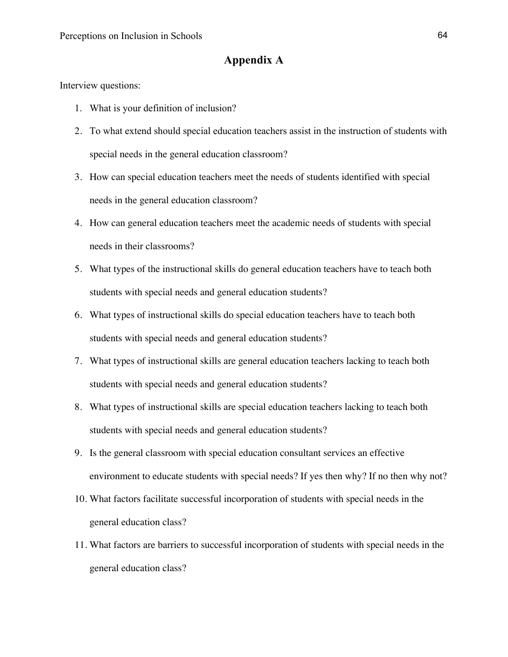# **Appendix A**

Interview questions:

- 1. What is your definition of inclusion?
- 2. To what extend should special education teachers assist in the instruction of students with special needs in the general education classroom?
- 3. How can special education teachers meet the needs of students identified with special needs in the general education classroom?
- 4. How can general education teachers meet the academic needs of students with special needs in their classrooms?
- 5. What types of the instructional skills do general education teachers have to teach both students with special needs and general education students?
- 6. What types of instructional skills do special education teachers have to teach both students with special needs and general education students?
- 7. What types of instructional skills are general education teachers lacking to teach both students with special needs and general education students?
- 8. What types of instructional skills are special education teachers lacking to teach both students with special needs and general education students?
- 9. Is the general classroom with special education consultant services an effective environment to educate students with special needs? If yes then why? If no then why not?
- 10. What factors facilitate successful incorporation of students with special needs in the general education class?
- 11. What factors are barriers to successful incorporation of students with special needs in the general education class?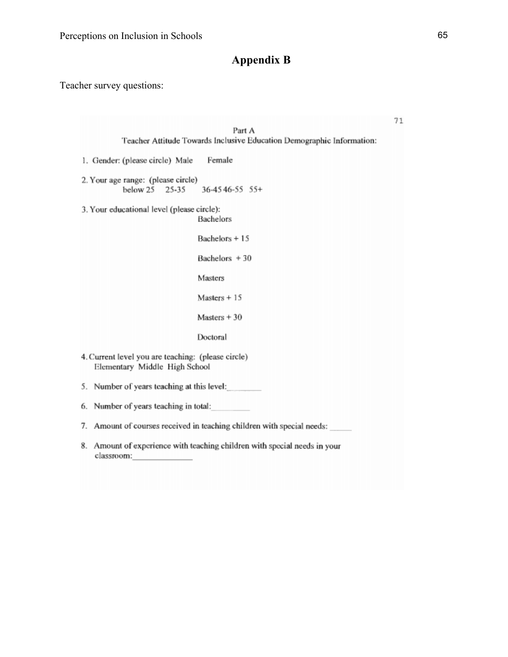# **Appendix B**

Teacher survey questions:

| Part A                                                                                  | 71 |
|-----------------------------------------------------------------------------------------|----|
| Teacher Attitude Towards Inclusive Education Demographic Information:                   |    |
| Female<br>1. Gender: (please circle) Male                                               |    |
| 2. Your age range: (please circle)<br>below 25 25-35<br>$36 - 45 + 46 - 55$ 55+         |    |
| 3. Your educational level (please circle):<br>Bachelors                                 |    |
| Bachelors + 15                                                                          |    |
| Bachelors + 30                                                                          |    |
| Masters                                                                                 |    |
| $Masters + 15$                                                                          |    |
| Masters $+30$                                                                           |    |
| Doctoral                                                                                |    |
| 4. Current level you are teaching: (please circle)<br>Elementary Middle High School     |    |
| 5. Number of years teaching at this level:                                              |    |
| 6. Number of years teaching in total:                                                   |    |
| 7. Amount of courses received in teaching children with special needs:                  |    |
| 8. Amount of experience with teaching children with special needs in your<br>classroom: |    |
|                                                                                         |    |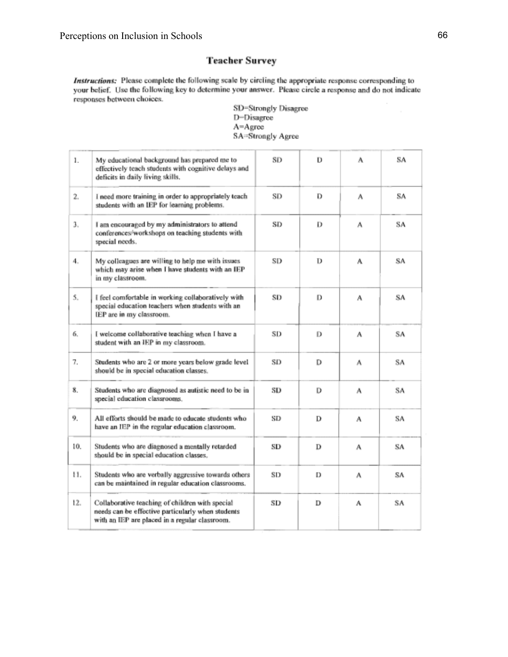# **Teacher Survey**

Instructions: Please complete the following scale by circling the appropriate response corresponding to your belief. Use the following key to determine your answer. Please circle a response and do not indicate responses between choices.

SD=Strongly Disagree D-Disagree  $A = Agrcc$ SA=Strongly Agree

| 1.  | My educational background has prepared me to<br>effectively teach students with cognitive delays and<br>deficits in daily living skills.               | SD | D | А | SA |
|-----|--------------------------------------------------------------------------------------------------------------------------------------------------------|----|---|---|----|
| 2.  | I need more training in order to appropriately teach<br>students with an IEP for learning problems.                                                    | SD | D | A | SA |
| 3.  | I am encouraged by my administrators to attend<br>conferences/workshops on teaching students with<br>special needs.                                    | SD | Ð | A | SA |
| 4.  | My colleagues are willing to help me with issues<br>which may arise when I have students with an IEP<br>in my classroom.                               | SD | D | A | SΑ |
| 5.  | I feel comfortable in working collaboratively with<br>special education teachers when students with an<br>IEP are in my classroom.                     |    | D | А | SΑ |
| 6.  | I welcome collaborative teaching when I have a<br>student with an IEP in my classroom.                                                                 | SD | D | А | SA |
| 7.  | Students who are 2 or more years below grade level<br>should be in special education classes.                                                          | SD | D | А | SA |
| 8.  | Students who are diagnosed as autistic need to be in<br>special education classrooms.                                                                  | SD | D | л | SA |
| 9.  | All efforts should be made to educate students who<br>have an IEP in the regular education classroom.                                                  | SD | D | А | SA |
| 10. | Students who are diagnosed a mentally retarded<br>should be in special education classes.                                                              | SD | D | A | SΑ |
| 11. | Students who are verbally aggressive towards others<br>can be maintained in regular education classrooms.                                              | SD | D | A | SΑ |
| 12. | Collaborative teaching of children with special<br>needs can be effective particularly when students<br>with an IEP are placed in a regular classroom. | SD | D | А | SA |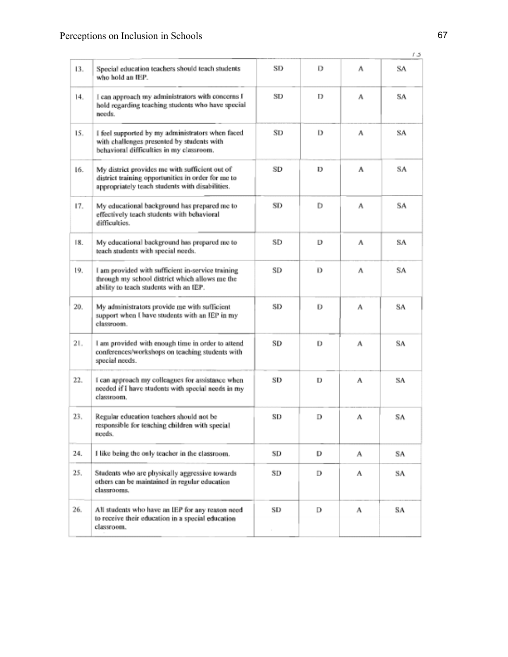|     |                                                                                                                                                         |    |   |   | 13 |
|-----|---------------------------------------------------------------------------------------------------------------------------------------------------------|----|---|---|----|
| 13. | Special education teachers should teach students<br>who hold an IEP.                                                                                    | SD | D | л | SA |
| 14. | I can approach my administrators with concerns I<br>hold regarding teaching students who have special<br>needs.                                         |    | D | л | SA |
| 15. | I feel supported by my administrators when faced<br>with challenges presented by students with<br>behavioral difficulties in my classroom.              |    | D | А | SA |
| 16. | My district provides me with sufficient out of<br>district training opportunities in order for me to<br>appropriately teach students with disabilities. | SD | Ð | А | SA |
| 17. | My educational background has prepared me to<br>effectively teach students with behavioral<br>difficulties.                                             |    | D | А | SA |
| 18. | My educational background has prepared me to<br>teach students with special needs.                                                                      | SD | D | А | SA |
| 19. | I am provided with sufficient in-service training<br>through my school district which allows me the<br>ability to teach students with an IEP.           |    | D | A | SA |
| 20. | My administrators provide me with sufficient<br>support when I have students with an IEP in my<br>classroom.                                            | SD | D | А | SA |
| 21. | I am provided with enough time in order to attend<br>conferences/workshops on teaching students with<br>special needs.                                  | SD | D | A | SA |
| 22. | I can approach my colleagues for assistance when<br>needed if I have students with special needs in my<br>classroom.                                    | SD | D | ٨ | SA |
| 23. | Regular education teachers should not be<br>responsible for teaching children with special<br>needs.                                                    |    | D | ٨ | SΛ |
| 24. | I like being the only teacher in the classroom.                                                                                                         | SD | D | А | SΑ |
| 25. | Students who are physically aggressive towards<br>others can be maintained in regular education<br>classrooms.                                          | SD | D | А | SA |
| 26. | All students who have an IEP for any reason need<br>to receive their education in a special education<br>classroom.                                     | SD | D | А | SA |
|     |                                                                                                                                                         |    |   |   |    |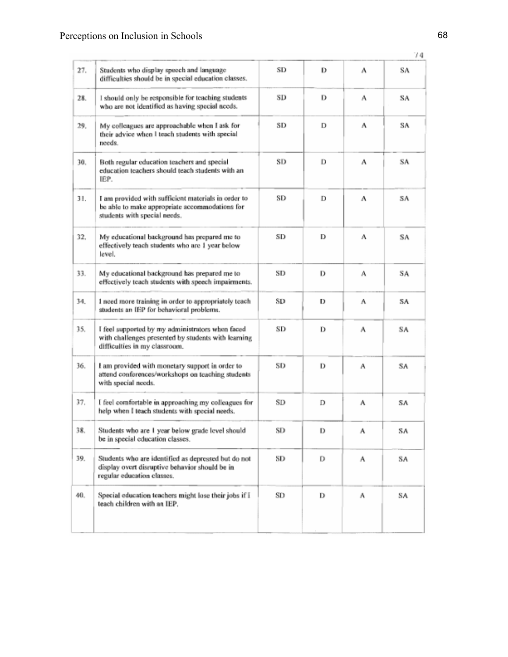|                                                                                                                                              |                                                                                                                                          |    |   |   | 74 |
|----------------------------------------------------------------------------------------------------------------------------------------------|------------------------------------------------------------------------------------------------------------------------------------------|----|---|---|----|
| 27.                                                                                                                                          | Students who display speech and language<br>difficulties should be in special education classes.                                         | SD | D | А | SΑ |
| 28.                                                                                                                                          | I should only be responsible for teaching students<br>who are not identified as having special needs.                                    |    | D | А | SA |
| 29.                                                                                                                                          | My colleagues are approachable when I ask for<br>their advice when I teach students with special<br>needs.                               | SD | D | А | SA |
| 30.<br>Both regular education teachers and special<br>education teachers should teach students with an<br>IEP.                               |                                                                                                                                          | SD | D | А | SA |
| 31.<br>I am provided with sufficient materials in order to<br>be able to make appropriate accommodations for<br>students with special needs. |                                                                                                                                          | SD | D | A | SA |
| 32.                                                                                                                                          | My educational background has prepared me to<br>effectively teach students who are 1 year below<br>level.                                |    | D | A | SΑ |
| 33.                                                                                                                                          | My educational background has prepared me to<br>effectively teach students with speech impairments.                                      |    | D | А | SA |
| 34.                                                                                                                                          | 1 need more training in order to appropriately teach<br>students an IEP for behavioral problems.                                         | SD | D | Α | SA |
| 35.                                                                                                                                          | I feel supported by my administrators when faced<br>with challenges presented by students with learning<br>difficulties in my classroom. | SD | D | A | SA |
| 36.                                                                                                                                          | I am provided with monetary support in order to<br>attend conferences/workshops on teaching students<br>with special needs.              | SD | D | A | SA |
| 37.                                                                                                                                          | I feel comfortable in approaching my colleagues for<br>help when I teach students with special needs.                                    | SD | D | А | SA |
| 38.                                                                                                                                          | Students who are 1 year below grade level should<br>be in special education classes.                                                     | SD | D | А | SA |
| 39.                                                                                                                                          | Students who are identified as depressed but do not<br>display overt disruptive behavior should be in<br>regular education classes.      | SD | D | A | SA |
| 40.                                                                                                                                          | Special education teachers might lose their jobs if I<br>teach children with an IEP.                                                     | SD | D | А | SA |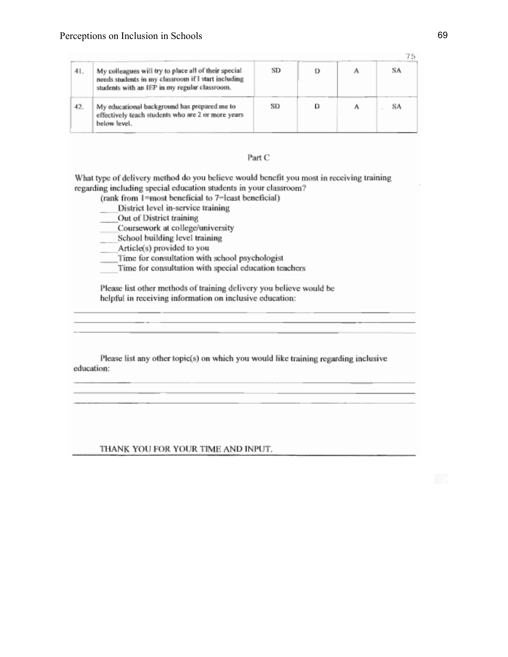| 41. | My colleagues will try to place all of their special<br>needs students in my classroom if I start including<br>students with an IEP in my regular classroom. | SD |  | SA |
|-----|--------------------------------------------------------------------------------------------------------------------------------------------------------------|----|--|----|
| 42. | My educational background has prepared me to<br>effectively teach students who are 2 or more years<br>below level.                                           | SD |  | SA |

### Part C

What type of delivery method do you believe would benefit you most in receiving training regarding including special education students in your classroom?

(rank from 1=most beneficial to 7=least beneficial)

- District level in-service training
- Out of District training
- Coursework at college/university
- School building level training
- Article(s) provided to you
- Time for consultation with school psychologist
- Time for consultation with special education teachers

Please list other methods of training delivery you believe would be helpful in receiving information on inclusive education:

Please list any other topic(s) on which you would like training regarding inclusive education:

THANK YOU FOR YOUR TIME AND INPUT.

75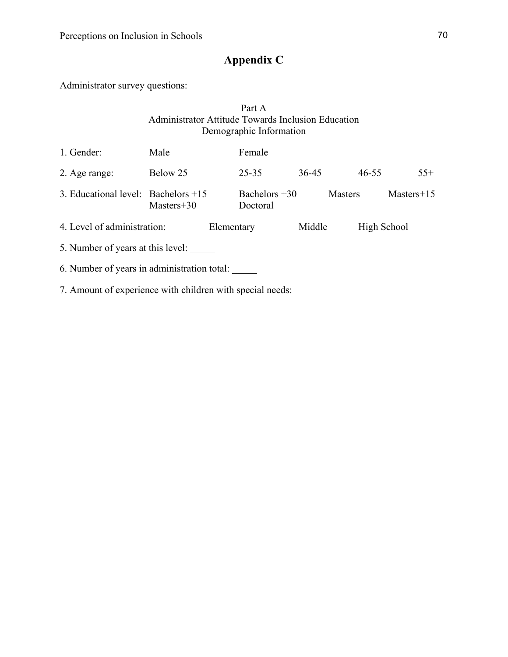# **Appendix C**

Administrator survey questions:

# Part A Administrator Attitude Towards Inclusion Education Demographic Information

| 1. Gender:                                                | Male         |            | Female                      |        |                |              |  |
|-----------------------------------------------------------|--------------|------------|-----------------------------|--------|----------------|--------------|--|
| 2. Age range:                                             | Below 25     |            | $25 - 35$                   | 36-45  | $46 - 55$      | $55+$        |  |
| 3. Educational level: Bachelors $+15$                     | $Masters+30$ |            | Bachelors $+30$<br>Doctoral |        | <b>Masters</b> | $Masters+15$ |  |
| 4. Level of administration:                               |              | Elementary |                             | Middle |                | High School  |  |
| 5. Number of years at this level:                         |              |            |                             |        |                |              |  |
| 6. Number of years in administration total:               |              |            |                             |        |                |              |  |
| 7. Amount of experience with children with special needs: |              |            |                             |        |                |              |  |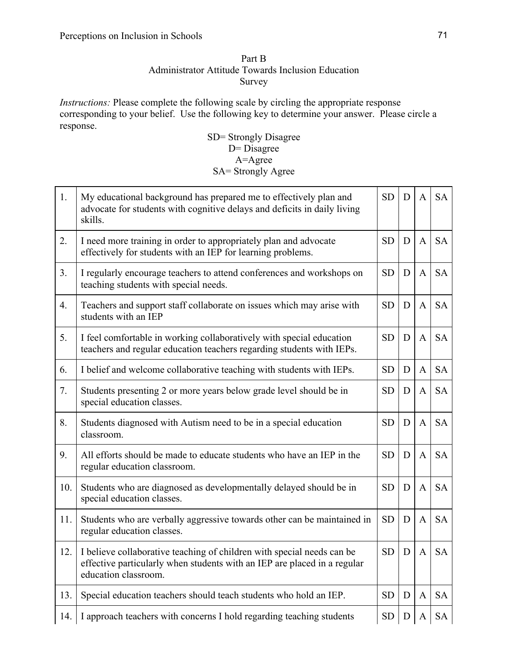## Part B Administrator Attitude Towards Inclusion Education Survey

*Instructions:* Please complete the following scale by circling the appropriate response corresponding to your belief. Use the following key to determine your answer. Please circle a response.

SD= Strongly Disagree  $D = Disagree$ A=Agree SA= Strongly Agree

| 1.             | My educational background has prepared me to effectively plan and<br>advocate for students with cognitive delays and deficits in daily living<br>skills.                   | <b>SD</b> | D | A            | <b>SA</b> |
|----------------|----------------------------------------------------------------------------------------------------------------------------------------------------------------------------|-----------|---|--------------|-----------|
| 2.             | I need more training in order to appropriately plan and advocate<br>effectively for students with an IEP for learning problems.                                            | <b>SD</b> | D | $\mathbf{A}$ | <b>SA</b> |
| 3 <sub>1</sub> | I regularly encourage teachers to attend conferences and workshops on<br>teaching students with special needs.                                                             | <b>SD</b> | D | $\mathbf{A}$ | <b>SA</b> |
| 4.             | Teachers and support staff collaborate on issues which may arise with<br>students with an IEP                                                                              | <b>SD</b> | D | $\mathbf{A}$ | <b>SA</b> |
| 5.             | I feel comfortable in working collaboratively with special education<br>teachers and regular education teachers regarding students with IEPs.                              | <b>SD</b> | D | A            | <b>SA</b> |
| 6.             | I belief and welcome collaborative teaching with students with IEPs.                                                                                                       | <b>SD</b> | D | $\mathbf{A}$ | <b>SA</b> |
| 7.             | Students presenting 2 or more years below grade level should be in<br>special education classes.                                                                           | <b>SD</b> | D | A            | <b>SA</b> |
| 8.             | Students diagnosed with Autism need to be in a special education<br>classroom.                                                                                             | <b>SD</b> | D | A            | <b>SA</b> |
| 9.             | All efforts should be made to educate students who have an IEP in the<br>regular education classroom.                                                                      | <b>SD</b> | D | A            | <b>SA</b> |
| 10.            | Students who are diagnosed as developmentally delayed should be in<br>special education classes.                                                                           | <b>SD</b> | D | $\mathbf{A}$ | <b>SA</b> |
| 11.            | Students who are verbally aggressive towards other can be maintained in<br>regular education classes.                                                                      | <b>SD</b> | D | A            | <b>SA</b> |
| 12.            | I believe collaborative teaching of children with special needs can be<br>effective particularly when students with an IEP are placed in a regular<br>education classroom. | <b>SD</b> | D | A            | <b>SA</b> |
| 13.            | Special education teachers should teach students who hold an IEP.                                                                                                          | <b>SD</b> | D | A            | <b>SA</b> |
| 14.            | I approach teachers with concerns I hold regarding teaching students                                                                                                       | <b>SD</b> | D | A            | <b>SA</b> |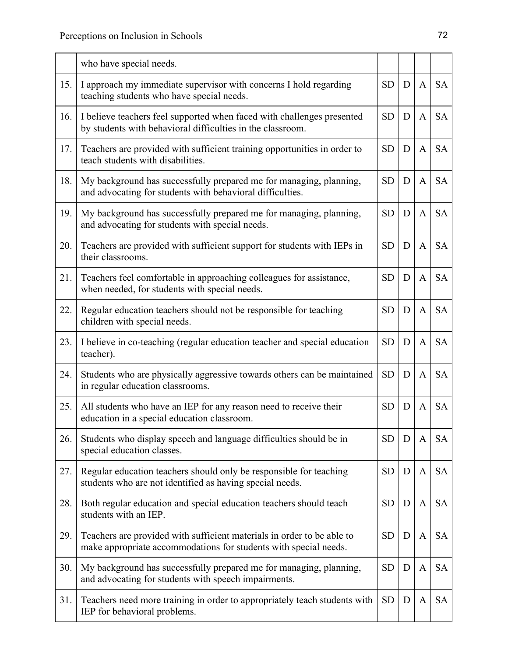|     | who have special needs.                                                                                                                    |           |   |              |           |
|-----|--------------------------------------------------------------------------------------------------------------------------------------------|-----------|---|--------------|-----------|
| 15. | I approach my immediate supervisor with concerns I hold regarding<br>teaching students who have special needs.                             | <b>SD</b> | D | $\mathbf{A}$ | <b>SA</b> |
| 16. | I believe teachers feel supported when faced with challenges presented<br>by students with behavioral difficulties in the classroom.       | <b>SD</b> | D | A            | <b>SA</b> |
| 17. | Teachers are provided with sufficient training opportunities in order to<br>teach students with disabilities.                              | <b>SD</b> | D | A            | <b>SA</b> |
| 18. | My background has successfully prepared me for managing, planning,<br>and advocating for students with behavioral difficulties.            | <b>SD</b> | D | A            | <b>SA</b> |
| 19. | My background has successfully prepared me for managing, planning,<br>and advocating for students with special needs.                      | <b>SD</b> | D | A            | <b>SA</b> |
| 20. | Teachers are provided with sufficient support for students with IEPs in<br>their classrooms.                                               | <b>SD</b> | D | A            | <b>SA</b> |
| 21. | Teachers feel comfortable in approaching colleagues for assistance,<br>when needed, for students with special needs.                       | <b>SD</b> | D | $\mathbf{A}$ | <b>SA</b> |
| 22. | Regular education teachers should not be responsible for teaching<br>children with special needs.                                          | <b>SD</b> | D | A            | <b>SA</b> |
| 23. | I believe in co-teaching (regular education teacher and special education<br>teacher).                                                     | <b>SD</b> | D | A            | <b>SA</b> |
| 24. | Students who are physically aggressive towards others can be maintained<br>in regular education classrooms.                                | <b>SD</b> | D | $\mathbf{A}$ | <b>SA</b> |
| 25. | All students who have an IEP for any reason need to receive their<br>education in a special education classroom.                           | <b>SD</b> | D | A            | <b>SA</b> |
| 26. | Students who display speech and language difficulties should be in<br>special education classes.                                           | <b>SD</b> | D | A            | <b>SA</b> |
| 27. | Regular education teachers should only be responsible for teaching<br>students who are not identified as having special needs.             | <b>SD</b> | D | A            | <b>SA</b> |
| 28. | Both regular education and special education teachers should teach<br>students with an IEP.                                                | <b>SD</b> | D | A            | <b>SA</b> |
| 29. | Teachers are provided with sufficient materials in order to be able to<br>make appropriate accommodations for students with special needs. | <b>SD</b> | D | A            | <b>SA</b> |
| 30. | My background has successfully prepared me for managing, planning,<br>and advocating for students with speech impairments.                 | <b>SD</b> | D | A            | <b>SA</b> |
| 31. | Teachers need more training in order to appropriately teach students with<br>IEP for behavioral problems.                                  | <b>SD</b> | D | A            | <b>SA</b> |